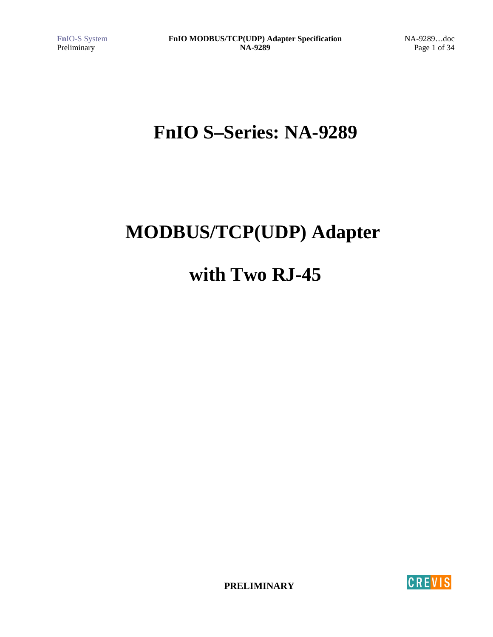Page 1 of 34

# **FnIO S–Series: NA-9289**

# **MODBUS/TCP(UDP) Adapter**

# **with Two RJ-45**

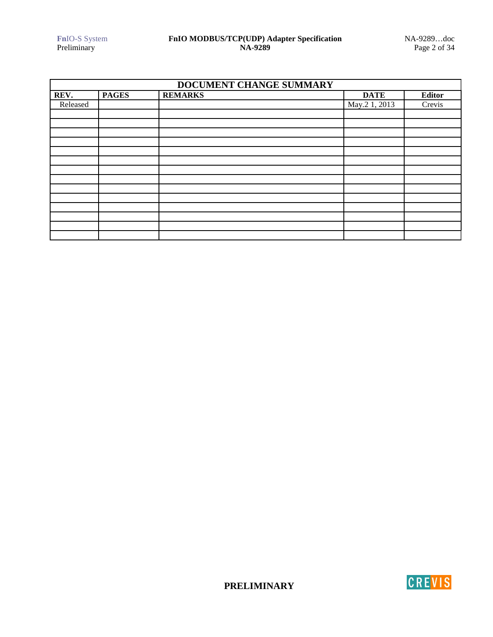| DOCUMENT CHANGE SUMMARY |              |                |               |               |
|-------------------------|--------------|----------------|---------------|---------------|
| REV.                    | <b>PAGES</b> | <b>REMARKS</b> | <b>DATE</b>   | <b>Editor</b> |
| Released                |              |                | May.2 1, 2013 | Crevis        |
|                         |              |                |               |               |
|                         |              |                |               |               |
|                         |              |                |               |               |
|                         |              |                |               |               |
|                         |              |                |               |               |
|                         |              |                |               |               |
|                         |              |                |               |               |
|                         |              |                |               |               |
|                         |              |                |               |               |
|                         |              |                |               |               |
|                         |              |                |               |               |
|                         |              |                |               |               |
|                         |              |                |               |               |
|                         |              |                |               |               |

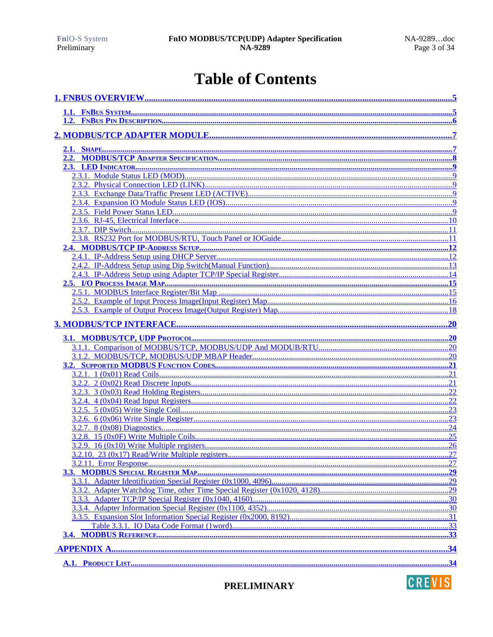# **Table of Contents**



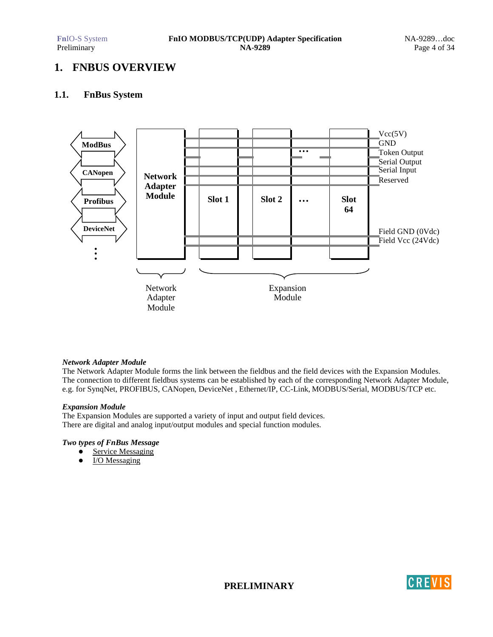# **1. FNBUS OVERVIEW**

### **1.1. FnBus System**



### *Network Adapter Module*

The Network Adapter Module forms the link between the fieldbus and the field devices with the Expansion Modules. The connection to different fieldbus systems can be established by each of the corresponding Network Adapter Module, e.g. for SynqNet, PROFIBUS, CANopen, DeviceNet , Ethernet/IP, CC-Link, MODBUS/Serial, MODBUS/TCP etc.

### *Expansion Module*

The Expansion Modules are supported a variety of input and output field devices. There are digital and analog input/output modules and special function modules.

### *Two types of FnBus Message*

- Service Messaging
- I/O Messaging

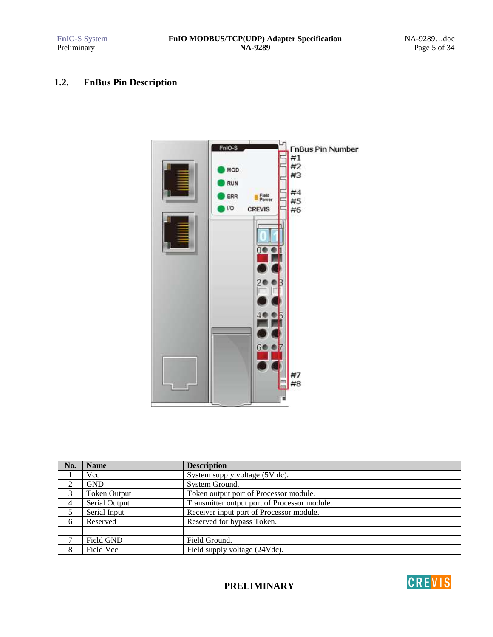# **1.2. FnBus Pin Description**



| No.            | <b>Name</b>         | <b>Description</b>                           |
|----------------|---------------------|----------------------------------------------|
|                | <b>Vcc</b>          | System supply voltage (5V dc).               |
| 2              | <b>GND</b>          | System Ground.                               |
| 3              | <b>Token Output</b> | Token output port of Processor module.       |
| $\overline{4}$ | Serial Output       | Transmitter output port of Processor module. |
| $\frac{5}{2}$  | Serial Input        | Receiver input port of Processor module.     |
| 6              | Reserved            | Reserved for bypass Token.                   |
|                |                     |                                              |
| $\mathcal{L}$  | Field GND           | Field Ground.                                |
| 8              | Field Vcc           | Field supply voltage (24Vdc).                |

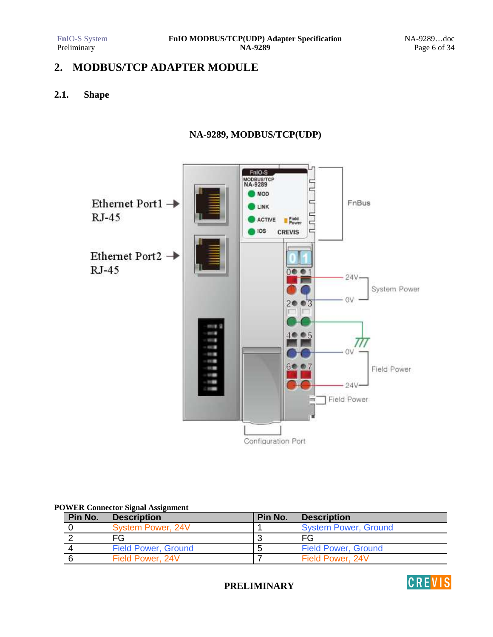# **2. MODBUS/TCP ADAPTER MODULE**

# **2.1. Shape**

# **NA-9289, MODBUS/TCP(UDP)**



### **POWER Connector Signal Assignment**

| Pin No. | <b>Description</b>         | Pin No. | <b>Description</b>          |
|---------|----------------------------|---------|-----------------------------|
|         | System Power, 24V          |         | <b>System Power, Ground</b> |
|         | FG                         |         | FG                          |
|         | <b>Field Power, Ground</b> | h       | <b>Field Power, Ground</b>  |
|         | Field Power, 24V           |         | Field Power, 24V            |

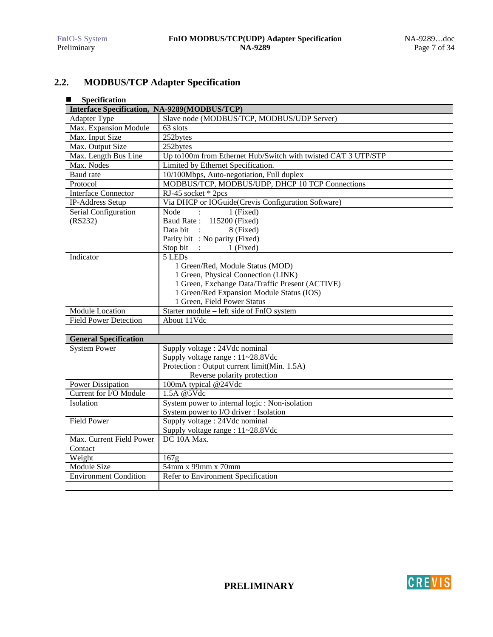# **2.2. MODBUS/TCP Adapter Specification**

| Specification<br>■                           |                                                                |
|----------------------------------------------|----------------------------------------------------------------|
| Interface Specification, NA-9289(MODBUS/TCP) |                                                                |
| <b>Adapter Type</b>                          | Slave node (MODBUS/TCP, MODBUS/UDP Server)                     |
| Max. Expansion Module                        | 63 slots                                                       |
| Max. Input Size                              | 252bytes                                                       |
| Max. Output Size                             | 252bytes                                                       |
| Max. Length Bus Line                         | Up to 100m from Ethernet Hub/Switch with twisted CAT 3 UTP/STP |
| Max. Nodes                                   | Limited by Ethernet Specification.                             |
| Baud rate                                    | 10/100Mbps, Auto-negotiation, Full duplex                      |
| Protocol                                     | MODBUS/TCP, MODBUS/UDP, DHCP 10 TCP Connections                |
| <b>Interface Connector</b>                   | RJ-45 socket * 2pcs                                            |
| IP-Address Setup                             | Via DHCP or IOGuide(Crevis Configuration Software)             |
| Serial Configuration                         | 1 (Fixed)<br>Node<br>$\cdot$ :                                 |
| (RS232)                                      | Baud Rate: 115200 (Fixed)                                      |
|                                              | 8 (Fixed)<br>Data bit<br>$\mathbf{r}$                          |
|                                              | Parity bit : No parity (Fixed)                                 |
|                                              | Stop bit :<br>1 (Fixed)                                        |
| Indicator                                    | 5 LEDs                                                         |
|                                              | 1 Green/Red, Module Status (MOD)                               |
|                                              | 1 Green, Physical Connection (LINK)                            |
|                                              | 1 Green, Exchange Data/Traffic Present (ACTIVE)                |
|                                              | 1 Green/Red Expansion Module Status (IOS)                      |
|                                              | 1 Green, Field Power Status                                    |
| <b>Module Location</b>                       | Starter module - left side of FnIO system                      |
| <b>Field Power Detection</b>                 | About 11Vdc                                                    |
|                                              |                                                                |
| <b>General Specification</b>                 |                                                                |
| <b>System Power</b>                          | Supply voltage: 24Vdc nominal                                  |
|                                              | Supply voltage range : 11~28.8Vdc                              |
|                                              | Protection : Output current limit(Min. 1.5A)                   |
|                                              | Reverse polarity protection                                    |
| Power Dissipation                            | 100mA typical @24Vdc                                           |
| Current for I/O Module                       | 1.5A @5Vdc                                                     |
| Isolation                                    | System power to internal logic : Non-isolation                 |
|                                              | System power to I/O driver : Isolation                         |
| <b>Field Power</b>                           | Supply voltage: 24Vdc nominal                                  |
|                                              | Supply voltage range : 11~28.8Vdc                              |
| Max. Current Field Power                     | DC 10A Max.                                                    |
| Contact                                      |                                                                |
| Weight                                       | $\overline{1}67g$                                              |
| <b>Module Size</b>                           | 54mm x 99mm x 70mm                                             |
| <b>Environment Condition</b>                 | Refer to Environment Specification                             |
|                                              |                                                                |

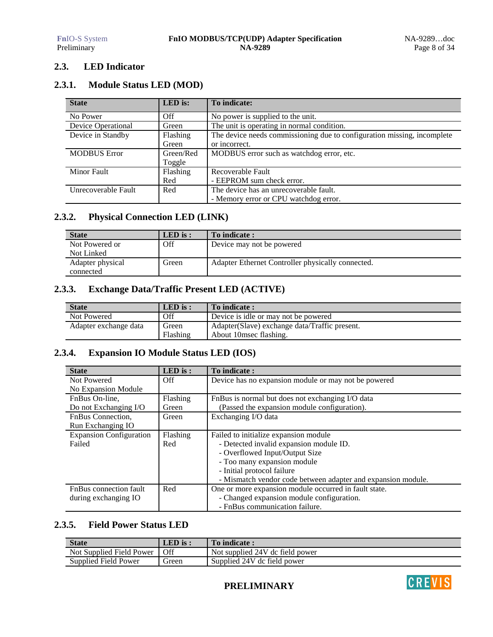# **2.3. LED Indicator**

# **2.3.1. Module Status LED (MOD)**

| <b>State</b>        | LED is:   | To indicate:                                                            |
|---------------------|-----------|-------------------------------------------------------------------------|
| No Power            | Off       | No power is supplied to the unit.                                       |
| Device Operational  | Green     | The unit is operating in normal condition.                              |
| Device in Standby   | Flashing  | The device needs commissioning due to configuration missing, incomplete |
|                     | Green     | or incorrect.                                                           |
| <b>MODBUS Error</b> | Green/Red | MODBUS error such as watchdog error, etc.                               |
|                     | Toggle    |                                                                         |
| <b>Minor Fault</b>  | Flashing  | Recoverable Fault                                                       |
|                     | Red       | - EEPROM sum check error.                                               |
| Unrecoverable Fault | Red       | The device has an unrecoverable fault.                                  |
|                     |           | - Memory error or CPU watchdog error.                                   |

# **2.3.2. Physical Connection LED (LINK)**

| <b>State</b>     | $LED$ is : | To indicate:                                      |
|------------------|------------|---------------------------------------------------|
| Not Powered or   | Off        | Device may not be powered                         |
| Not Linked       |            |                                                   |
| Adapter physical | Green      | Adapter Ethernet Controller physically connected. |
| connected        |            |                                                   |

# **2.3.3. Exchange Data/Traffic Present LED (ACTIVE)**

| <b>State</b>          | $LED$ is : | To indicate:                                  |
|-----------------------|------------|-----------------------------------------------|
| Not Powered           | Off        | Device is idle or may not be powered          |
| Adapter exchange data | Green      | Adapter(Slave) exchange data/Traffic present. |
|                       | Flashing   | About 10 msec flashing.                       |

# **2.3.4. Expansion IO Module Status LED (IOS)**

| <b>State</b>                   | $LED$ is : | To indicate:                                                 |
|--------------------------------|------------|--------------------------------------------------------------|
| Not Powered                    | Off        | Device has no expansion module or may not be powered         |
| No Expansion Module            |            |                                                              |
| FnBus On-line,                 | Flashing   | FnBus is normal but does not exchanging I/O data             |
| Do not Exchanging I/O          | Green      | (Passed the expansion module configuration).                 |
| FnBus Connection,              | Green      | Exchanging I/O data                                          |
| Run Exchanging IO              |            |                                                              |
| <b>Expansion Configuration</b> | Flashing   | Failed to initialize expansion module                        |
| Failed                         | Red        | - Detected invalid expansion module ID.                      |
|                                |            | - Overflowed Input/Output Size                               |
|                                |            | - Too many expansion module                                  |
|                                |            | - Initial protocol failure                                   |
|                                |            | - Mismatch vendor code between adapter and expansion module. |
| <b>FnBus</b> connection fault  | Red        | One or more expansion module occurred in fault state.        |
| during exchanging IO           |            | - Changed expansion module configuration.                    |
|                                |            | - FnBus communication failure.                               |

# **2.3.5. Field Power Status LED**

| <b>State</b>             | LED is : | To indicate:                    |
|--------------------------|----------|---------------------------------|
| Not Supplied Field Power | Off      | Not supplied 24V dc field power |
| Supplied Field Power     | Green    | Supplied 24V dc field power     |

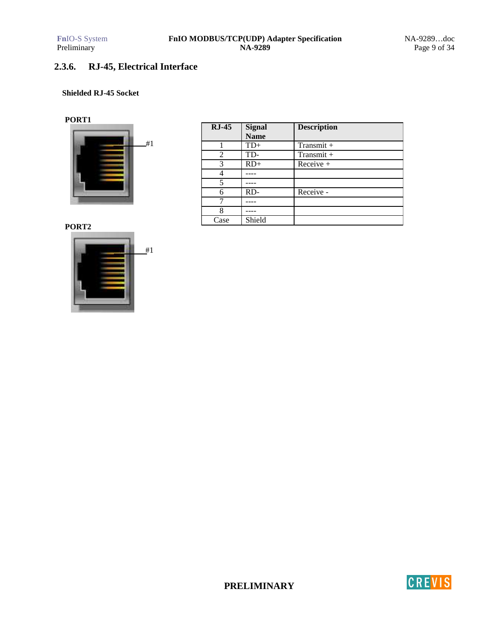# **2.3.6. RJ-45, Electrical Interface**

### **Shielded RJ-45 Socket**

### **PORT1**



| $RJ-45$ | <b>Signal</b> | <b>Description</b> |
|---------|---------------|--------------------|
|         | <b>Name</b>   |                    |
|         | $TD+$         | Transmit $+$       |
| 2       | TD-           | $Transmit +$       |
| 3       | $RD+$         | $Receive +$        |
|         |               |                    |
| 5       |               |                    |
| 6       | RD-           | Receive -          |
|         |               |                    |
| 8       |               |                    |
| Case    | Shield        |                    |

**PORT2**



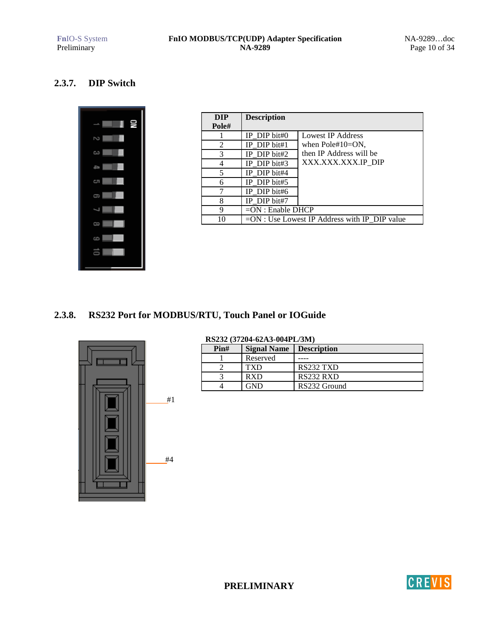# **2.3.7. DIP Switch**



| <b>DIP</b> | <b>Description</b>  |                                                |
|------------|---------------------|------------------------------------------------|
| Pole#      |                     |                                                |
|            | IP DIP bit# $0$     | Lowest IP Address                              |
| 2          | IP DIP bit#1        | when $Pole#10=ON$ ,                            |
| 3          | IP DIP bit#2        | then IP Address will be                        |
|            | IP DIP bit#3        | XXX.XXX.XXX.IP DIP                             |
| 5          | IP DIP bit#4        |                                                |
| 6          | IP DIP bit#5        |                                                |
|            | IP DIP bit#6        |                                                |
|            | IP DIP bit#7        |                                                |
| 9          | $=ON$ : Enable DHCP |                                                |
| 10         |                     | $=ON:$ Use Lowest IP Address with IP DIP value |

# **2.3.8. RS232 Port for MODBUS/RTU, Touch Panel or IOGuide**



### **RS232 (37204-62A3-004PL/3M) Pin#** Signal Name Description 1 Reserved ----<br>2 TXD RS2 2 TXD RS232 TXD<br>3 RXD RS232 RXD 3 RXD RS232 RXD<br>4 GND RS232 Group RS232 Ground

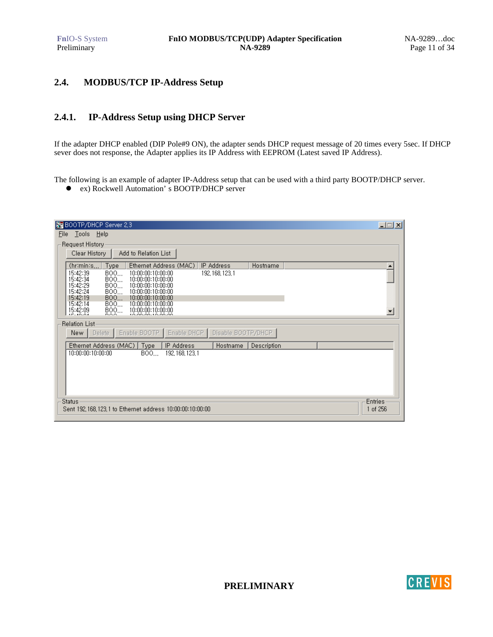# **2.4. MODBUS/TCP IP-Address Setup**

### **2.4.1. IP-Address Setup using DHCP Server**

If the adapter DHCP enabled (DIP Pole#9 ON), the adapter sends DHCP request message of 20 times every 5sec. If DHCP sever does not response, the Adapter applies its IP Address with EEPROM (Latest saved IP Address).

The following is an example of adapter IP-Address setup that can be used with a third party BOOTP/DHCP server.

ex) Rockwell Automation' s BOOTP/DHCP server

| BOOTP/DHCP Server 2.3                                                                            | 口回因                     |
|--------------------------------------------------------------------------------------------------|-------------------------|
| Tools Help<br>File                                                                               |                         |
| Request History                                                                                  |                         |
| Clear History<br>Add to Relation List                                                            |                         |
| (hr:min:s<br>Type<br>Ethernet Address (MAC)<br>IP Address<br>Hostname                            |                         |
| 15:42:39<br>BOO<br>10:00:00:10:00:00<br>192, 168, 123, 1<br>15:42:34<br>BOO<br>10:00:00:10:00:00 |                         |
| 15:42:29<br>BOO<br>10:00:00:10:00:00<br>10:00:00:10:00:00                                        |                         |
| 15:42:24<br>BOO<br>15:42:19<br>BOO<br>10:00:00:10:00:00                                          |                         |
| 15:42:14<br>BOO<br>10:00:00:10:00:00<br>15:42:09<br>$B_{22}^{00}$<br>10:00:00:10:00:00           | $\overline{\mathbf{v}}$ |
|                                                                                                  |                         |
| <b>Relation List-</b>                                                                            |                         |
| Disable BOOTP/DHCP<br>Enable BOOTP   Enable DHCP  <br>New<br>Delete                              |                         |
| Ethernet Address (MAC)  <br><b>Type</b><br>IP Address<br>Description<br>Hostname                 |                         |
| 10:00:00:10:00:00<br>BOO<br>192, 168, 123, 1                                                     |                         |
|                                                                                                  |                         |
|                                                                                                  |                         |
|                                                                                                  |                         |
| Status<br><b>Entries</b>                                                                         |                         |
| Sent 192, 168, 123, 1 to Ethernet address 10:00:00:10:00:00<br>1 of 256                          |                         |



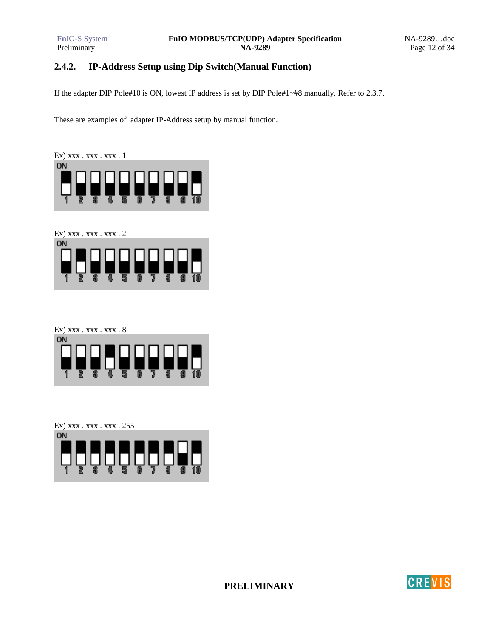# **2.4.2. IP-Address Setup using Dip Switch(Manual Function)**

If the adapter DIP Pole#10 is ON, lowest IP address is set by DIP Pole#1~#8 manually. Refer to 2.3.7.

These are examples of adapter IP-Address setup by manual function.



Ex) xxx . xxx . xxx . 2



Ex) xxx . xxx . xxx . 8



Ex) xxx . xxx . xxx . 255 **ON** 

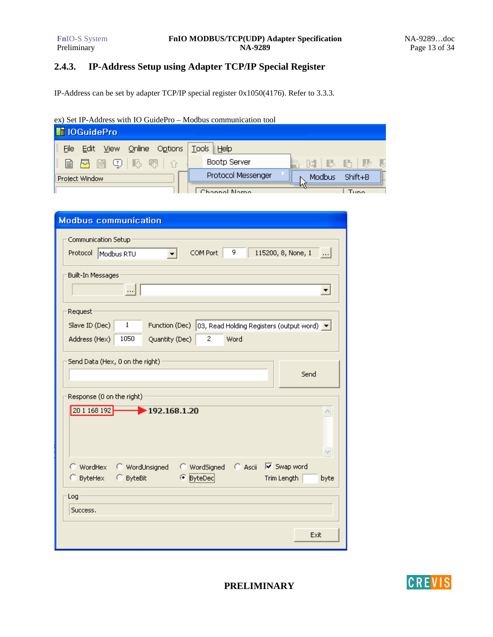# **2.4.3. IP-Address Setup using Adapter TCP/IP Special Register**

IP-Address can be set by adapter TCP/IP special register 0x1050(4176). Refer to 3.3.3.

### ex) Set IP-Address with IO GuidePro – Modbus communication tool

| <b>MIOGuidePro</b>                                      |                                  |                   |
|---------------------------------------------------------|----------------------------------|-------------------|
| Online<br><b>Options</b><br><b>File</b><br>View<br>Edit | <b>Tools</b><br>$\parallel$ Help |                   |
| IB F F C U F F                                          | Bootp Server                     | Th,<br>k.<br>- IB |
| Project Window                                          | Protocol Messenger               | Shift+B<br>Modbus |
|                                                         | Chonnel Nome                     | Tuno              |

| <b>Modbus communication</b>                                                                                    |
|----------------------------------------------------------------------------------------------------------------|
| Communication Setup<br>9<br>COM Port<br>115200, 8, None, 1<br>Protocol   Modbus RTU<br>$\left  \ldots \right $ |
| Built-In Messages<br>$\cdots$                                                                                  |
| Request                                                                                                        |
| Slave ID (Dec)<br>1<br>Function (Dec)   03, Read Holding Registers (output word)   ▼                           |
| 1050<br>2<br>Word<br>Address (Hex)<br>Quantity (Dec)                                                           |
| Send<br>Response (0 on the right)<br>192.168.1.20<br>20 1 168 192<br>Ą                                         |
| $\vee$<br>$C$ Ascii<br><b>WordUnsigned</b><br>C WordSigned<br>Ⅳ Swap word<br>◯ WordHex                         |
| C ByteHex<br>C ByteBit<br><b>E</b> ByteDec<br>Trim Length<br>byte                                              |
| Log                                                                                                            |
| Success.                                                                                                       |
| Exit                                                                                                           |

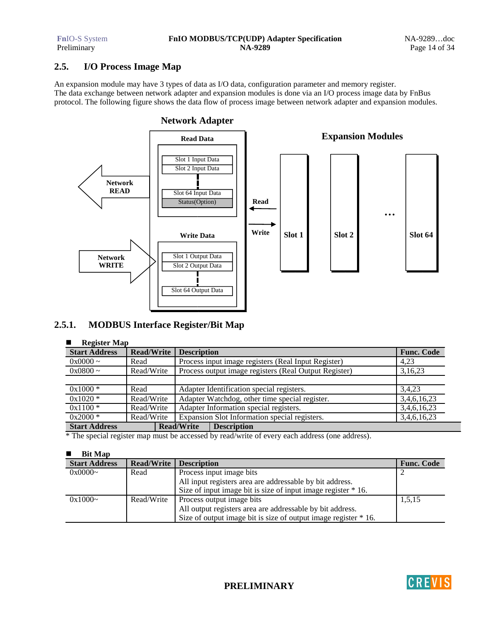# **2.5. I/O Process Image Map**

An expansion module may have 3 types of data as I/O data, configuration parameter and memory register. The data exchange between network adapter and expansion modules is done via an I/O process image data by FnBus protocol. The following figure shows the data flow of process image between network adapter and expansion modules.



# **2.5.1. MODBUS Interface Register/Bit Map**

#### -**Register Map**

| <b>Start Address</b> | <b>Read/Write</b> | <b>Description</b>                                    | <b>Func. Code</b> |
|----------------------|-------------------|-------------------------------------------------------|-------------------|
| $0x0000 \sim$        | Read              | Process input image registers (Real Input Register)   | 4.23              |
| $0x0800 \sim$        | Read/Write        | Process output image registers (Real Output Register) | 3,16,23           |
|                      |                   |                                                       |                   |
| $0x1000*$            | Read              | Adapter Identification special registers.             | 3,4,23            |
| $0x1020*$            | Read/Write        | Adapter Watchdog, other time special register.        | 3,4,6,16,23       |
| $0x1100*$            | Read/Write        | Adapter Information special registers.                | 3,4,6,16,23       |
| $0x2000*$            | Read/Write        | Expansion Slot Information special registers.         | 3,4,6,16,23       |
| <b>Start Address</b> |                   | <b>Read/Write</b><br><b>Description</b>               |                   |

\* The special register map must be accessed by read/write of every each address (one address).

#### -**Bit Map**

| <b>Start Address</b> | Read/Write | <b>Description</b>                                              | <b>Func. Code</b> |
|----------------------|------------|-----------------------------------------------------------------|-------------------|
| $0x0000$ ~           | Read       | Process input image bits                                        |                   |
|                      |            | All input registers area are addressable by bit address.        |                   |
|                      |            | Size of input image bit is size of input image register * 16.   |                   |
| $0x1000-$            | Read/Write | Process output image bits                                       | 1,5,15            |
|                      |            | All output registers area are addressable by bit address.       |                   |
|                      |            | Size of output image bit is size of output image register * 16. |                   |

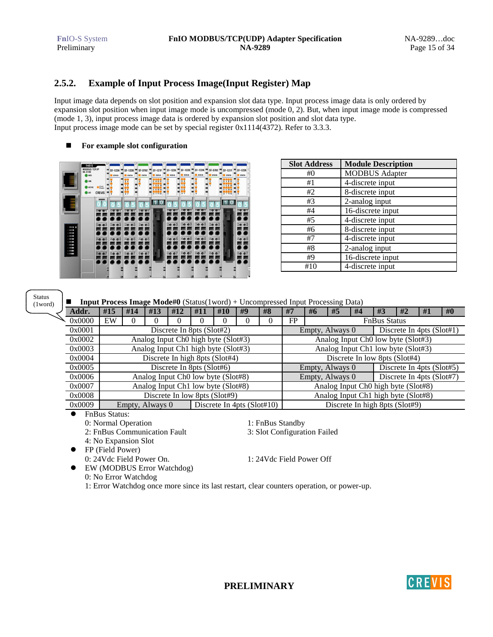# **2.5.2. Example of Input Process Image(Input Register) Map**

Input image data depends on slot position and expansion slot data type. Input process image data is only ordered by expansion slot position when input image mode is uncompressed (mode 0, 2). But, when input image mode is compressed (mode 1, 3), input process image data is ordered by expansion slot position and slot data type. Input process image mode can be set by special register 0x1114(4372). Refer to 3.3.3.

#### -**For example slot configuration**

|                                                                                                                          | Fnio S<br><b>MODBUS TCP/IP</b><br>NA-9189<br><b>DOM 69</b><br><b>D</b> LINK<br><b>ACTIVE</b><br>@ 1/0 | Field<br>Power<br><b>CREVIS</b> | ST-1224<br>starus<br>n<br>$\overline{\mathbf{a}}$ | ۰ | $ST-1228$<br><b>STATUS</b><br>0 <sub>4</sub><br>15<br>吹籠<br>26<br>٨ŵ<br>37 | ST-3702<br><b>STATUS</b><br>$\overline{0}$ | <b>ST-121F</b><br><b>STATUS</b><br>7.77<br>15913<br>2 6 10 14<br>371115 | ▬<br>▬ | ST-1224<br><b>E STATUS</b><br>٠<br>$\overline{z}$<br>× | ▬<br>▬<br>− | $ST-1228$ ST-1224<br><b>STATUS</b><br>- - -<br>0 <sub>4</sub><br>15<br>$\overline{28}$<br>自由<br>37 | . .<br>▬ | <b>STATUS</b><br>$\overline{0}$<br>z<br>$\overline{\mathbf{3}}$ | ST-3702<br><b>E starus</b>              | <b>ST-121F</b><br><b>STATUS</b><br>7.802<br>15913<br>2 6 10 14<br>371115 | ▬ | $ST-1224$<br><b>STATUS</b><br>$\circ$<br>$\overline{\mathbf{z}}$ | c<br>с<br>r |
|--------------------------------------------------------------------------------------------------------------------------|-------------------------------------------------------------------------------------------------------|---------------------------------|---------------------------------------------------|---|----------------------------------------------------------------------------|--------------------------------------------|-------------------------------------------------------------------------|--------|--------------------------------------------------------|-------------|----------------------------------------------------------------------------------------------------|----------|-----------------------------------------------------------------|-----------------------------------------|--------------------------------------------------------------------------|---|------------------------------------------------------------------|-------------|
| $-$ <b>mag</b> 9<br>$\sim$ 100 $\pm$<br>$  -$<br>$\circ$ = $\bullet$<br>$\sim$ 100 $\pm$<br>$\sim$ 110 m<br>$\alpha = 1$ |                                                                                                       |                                 | 63<br>65                                          |   | <b>De</b><br>$2$<br><b>Ae</b><br>65                                        | 2003<br>40<br>65                           | 10<br>$rac{1}{2}$<br>۰<br><b>1999</b><br>- 19                           |        | 05<br>w.                                               |             | 63<br>65<br><b>Ke</b>                                                                              |          | 20<br>$•3$<br>65                                                | <b>CLED (B)</b><br>2003<br><b>40 e5</b> | <b>Senior</b><br><b>STEP</b>                                             |   | <b>DE OT</b><br>2003<br>65<br>$E -$                              |             |
| a libro<br>$\sim$                                                                                                        |                                                                                                       |                                 |                                                   |   | . .<br>. .                                                                 | $^{\circ}$<br><b>Se</b><br>o<br>m          |                                                                         |        |                                                        |             |                                                                                                    |          |                                                                 | $\bullet$ <sup>7</sup>                  |                                                                          |   | $\bullet$ 7<br><b>Se</b>                                         |             |

| <b>Slot Address</b> | <b>Module Description</b> |
|---------------------|---------------------------|
| #0                  | <b>MODBUS</b> Adapter     |
| #1                  | 4-discrete input          |
| #2                  | 8-discrete input          |
| #3                  | 2-analog input            |
| #4                  | 16-discrete input         |
| #5                  | 4-discrete input          |
| #6                  | 8-discrete input          |
| #7                  | 4-discrete input          |
| #8                  | 2-analog input            |
| #9                  | 16-discrete input         |
| #10                 | 4-discrete input          |

Status (1word)

|                                |     | <b>Input Process Image Mode#0</b> (Status(1word) + Uncompressed Input Processing Data) |          |                                                 |     |     |                              |    |                                                 |    |    |  |                                |  |  |  |  |
|--------------------------------|-----|----------------------------------------------------------------------------------------|----------|-------------------------------------------------|-----|-----|------------------------------|----|-------------------------------------------------|----|----|--|--------------------------------|--|--|--|--|
| Addr.                          | #15 | #14                                                                                    | #13      | #12                                             | #11 | #10 | #9                           | #8 | #7                                              | #1 | #0 |  |                                |  |  |  |  |
| 0x0000                         | EW  | 0                                                                                      | $\theta$ | FP<br><b>FnBus Status</b>                       |     |     |                              |    |                                                 |    |    |  |                                |  |  |  |  |
| 0x0001                         |     |                                                                                        |          | Discrete In 8pts (Slot#2)                       |     |     |                              |    | Discrete In 4pts $(Slot#1)$<br>Empty, Always 0  |    |    |  |                                |  |  |  |  |
| 0x0002                         |     |                                                                                        |          | Analog Input Ch <sub>0</sub> high byte (Slot#3) |     |     |                              |    | Analog Input Ch <sub>0</sub> low byte (Slot#3)  |    |    |  |                                |  |  |  |  |
| 0x0003                         |     |                                                                                        |          | Analog Input Ch1 high byte (Slot#3)             |     |     |                              |    | Analog Input Ch1 low byte (Slot#3)              |    |    |  |                                |  |  |  |  |
| 0x0004                         |     |                                                                                        |          | Discrete In high 8pts (Slot#4)                  |     |     |                              |    | Discrete In low 8pts (Slot#4)                   |    |    |  |                                |  |  |  |  |
| 0x0005                         |     |                                                                                        |          | Discrete In 8pts $(Slot#6)$                     |     |     |                              |    | Discrete In 4pts (Slot#5)<br>Empty, Always 0    |    |    |  |                                |  |  |  |  |
| 0x0006                         |     |                                                                                        |          | Analog Input Ch <sub>0</sub> low byte (Slot#8)  |     |     |                              |    | Discrete In 4pts (Slot#7)<br>Empty, Always 0    |    |    |  |                                |  |  |  |  |
| 0x0007                         |     |                                                                                        |          | Analog Input Ch1 low byte (Slot#8)              |     |     |                              |    | Analog Input Ch <sub>0</sub> high byte (Slot#8) |    |    |  |                                |  |  |  |  |
| 0x0008                         |     |                                                                                        |          | Discrete In low 8pts (Slot#9)                   |     |     |                              |    | Analog Input Ch1 high byte (Slot#8)             |    |    |  |                                |  |  |  |  |
| 0x0009                         |     | Empty, Always 0                                                                        |          |                                                 |     |     | Discrete In 4pts $(SIot#10)$ |    |                                                 |    |    |  | Discrete In high 8pts (Slot#9) |  |  |  |  |
| $\bullet$ $\Box$ $\Box$ $\Box$ |     |                                                                                        |          |                                                 |     |     |                              |    |                                                 |    |    |  |                                |  |  |  |  |

 FnBus Status: 0: Normal Operation 1: FnBus Standby

2: FnBus Communication Fault 3: Slot Configuration Failed

4: No Expansion Slot

FP (Field Power)

0: 24Vdc Field Power On. 1: 24Vdc Field Power Off

 EW (MODBUS Error Watchdog) 0: No Error Watchdog

1: Error Watchdog once more since its last restart, clear counters operation, or power-up.

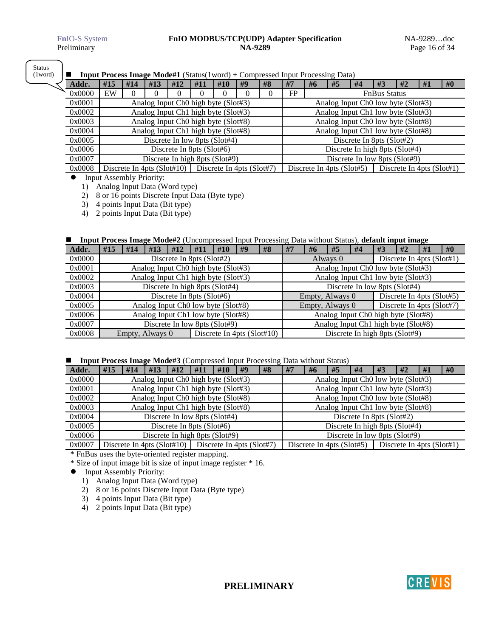Status (1word)

#### -**Input Process Image Mode#1** (Status(1word) + Compressed Input Processing Data)

|        | <b>Input I Tocess Image Moder</b> I (Status(Tword) + Compressed input I Tocessing Data) |          |                                                 |     |                           |     |    |    |                                    |                     |                             |    |                                                |                           |    |    |  |
|--------|-----------------------------------------------------------------------------------------|----------|-------------------------------------------------|-----|---------------------------|-----|----|----|------------------------------------|---------------------|-----------------------------|----|------------------------------------------------|---------------------------|----|----|--|
| Addr.  | #15                                                                                     | #14      | #13                                             | #12 | #11                       | #10 | #9 | #8 | #7                                 | #6                  | #5                          | #4 | #3                                             | #2                        | #1 | #0 |  |
| 0x0000 | EW                                                                                      | $\theta$ |                                                 | 0   |                           |     |    |    | FP                                 | <b>FnBus Status</b> |                             |    |                                                |                           |    |    |  |
| 0x0001 |                                                                                         |          | Analog Input Ch0 high byte (Slot#3)             |     |                           |     |    |    |                                    |                     |                             |    | Analog Input Ch <sub>0</sub> low byte (Slot#3) |                           |    |    |  |
| 0x0002 |                                                                                         |          | Analog Input Ch1 high byte (Slot#3)             |     |                           |     |    |    | Analog Input Ch1 low byte (Slot#3) |                     |                             |    |                                                |                           |    |    |  |
| 0x0003 |                                                                                         |          | Analog Input Ch <sub>0</sub> high byte (Slot#8) |     |                           |     |    |    |                                    |                     |                             |    | Analog Input Ch <sub>0</sub> low byte (Slot#8) |                           |    |    |  |
| 0x0004 |                                                                                         |          | Analog Input Ch1 high byte (Slot#8)             |     |                           |     |    |    | Analog Input Ch1 low byte (Slot#8) |                     |                             |    |                                                |                           |    |    |  |
| 0x0005 |                                                                                         |          | Discrete In low 8pts (Slot#4)                   |     |                           |     |    |    | Discrete In 8pts (Slot#2)          |                     |                             |    |                                                |                           |    |    |  |
| 0x0006 |                                                                                         |          |                                                 |     | Discrete In 8pts (Slot#6) |     |    |    | Discrete In high 8pts (Slot#4)     |                     |                             |    |                                                |                           |    |    |  |
| 0x0007 |                                                                                         |          | Discrete In high 8pts (Slot#9)                  |     |                           |     |    |    | Discrete In low 8pts (Slot#9)      |                     |                             |    |                                                |                           |    |    |  |
| 0x0008 | Discrete In 4pts (Slot#10)   Discrete In 4pts (Slot#7)                                  |          |                                                 |     |                           |     |    |    |                                    |                     | Discrete In 4pts $(Slot#5)$ |    |                                                | Discrete In 4pts (Slot#1) |    |    |  |

Input Assembly Priority:

1) Analog Input Data (Word type)

2) 8 or 16 points Discrete Input Data (Byte type)

3) 4 points Input Data (Bit type)

4) 2 points Input Data (Bit type)

#### -**Input Process Image Mode#2** (Uncompressed Input Processing Data without Status), **default input image**

| Addr.  | #15                                                                               | #14 | #13 | #12                          | #11 | #10                                             | #9 | #8                                    | #7                                              | #6                            | #5 | #4 | #3 | #2 | #1 | #0 |  |  |
|--------|-----------------------------------------------------------------------------------|-----|-----|------------------------------|-----|-------------------------------------------------|----|---------------------------------------|-------------------------------------------------|-------------------------------|----|----|----|----|----|----|--|--|
| 0x0000 |                                                                                   |     |     | Discrete In 8pts (Slot#2)    |     |                                                 |    | Discrete In 4pts (Slot#1)<br>Always 0 |                                                 |                               |    |    |    |    |    |    |  |  |
| 0x0001 |                                                                                   |     |     |                              |     | Analog Input Ch <sub>0</sub> high byte (Slot#3) |    |                                       | Analog Input Ch <sub>0</sub> low byte (Slot#3)  |                               |    |    |    |    |    |    |  |  |
| 0x0002 |                                                                                   |     |     |                              |     | Analog Input Ch1 high byte (Slot#3)             |    |                                       | Analog Input Ch1 low byte (Slot#3)              |                               |    |    |    |    |    |    |  |  |
| 0x0003 | Discrete In high 8pts (Slot#4)                                                    |     |     |                              |     |                                                 |    |                                       |                                                 | Discrete In low 8pts (Slot#4) |    |    |    |    |    |    |  |  |
| 0x0004 |                                                                                   |     |     | Discrete In 8pts $(Slot\#6)$ |     |                                                 |    |                                       | Discrete In 4pts (Slot#5)<br>Empty, Always 0    |                               |    |    |    |    |    |    |  |  |
| 0x0005 |                                                                                   |     |     |                              |     | Analog Input Ch0 low byte (Slot#8)              |    |                                       | Discrete In 4pts (Slot#7)<br>Empty, Always 0    |                               |    |    |    |    |    |    |  |  |
| 0x0006 |                                                                                   |     |     |                              |     | Analog Input Ch1 low byte (Slot#8)              |    |                                       | Analog Input Ch <sub>0</sub> high byte (Slot#8) |                               |    |    |    |    |    |    |  |  |
| 0x0007 | Discrete In low 8pts (Slot#9)                                                     |     |     |                              |     |                                                 |    |                                       | Analog Input Ch1 high byte (Slot#8)             |                               |    |    |    |    |    |    |  |  |
| 0x0008 | Discrete In high 8pts (Slot#9)<br>Discrete In 4pts $(Slot#10)$<br>Empty, Always 0 |     |     |                              |     |                                                 |    |                                       |                                                 |                               |    |    |    |    |    |    |  |  |

### **Input Process Image Mode#3** (Compressed Input Processing Data without Status)

| Addr.  | #15                                                             | #14                                                                                   | #13                                 | #12                          | #11 | #10 | #9 | #8 | #7                                                       | #6 | #5                             | #4 | #3 | #2 | #1 | #0 |  |
|--------|-----------------------------------------------------------------|---------------------------------------------------------------------------------------|-------------------------------------|------------------------------|-----|-----|----|----|----------------------------------------------------------|----|--------------------------------|----|----|----|----|----|--|
| 0x0000 |                                                                 |                                                                                       | Analog Input Ch0 high byte (Slot#3) |                              |     |     |    |    | Analog Input Ch <sub>0</sub> low byte (Slot#3)           |    |                                |    |    |    |    |    |  |
| 0x0001 |                                                                 |                                                                                       | Analog Input Ch1 high byte (Slot#3) |                              |     |     |    |    | Analog Input Ch1 low byte (Slot#3)                       |    |                                |    |    |    |    |    |  |
| 0x0002 |                                                                 | Analog Input Ch0 high byte (Slot#8)<br>Analog Input Ch <sub>0</sub> low byte (Slot#8) |                                     |                              |     |     |    |    |                                                          |    |                                |    |    |    |    |    |  |
| 0x0003 |                                                                 |                                                                                       | Analog Input Ch1 high byte (Slot#8) |                              |     |     |    |    | Analog Input Ch1 low byte (Slot#8)                       |    |                                |    |    |    |    |    |  |
| 0x0004 |                                                                 |                                                                                       | Discrete In low 8pts (Slot#4)       |                              |     |     |    |    | Discrete In 8pts (Slot#2)                                |    |                                |    |    |    |    |    |  |
| 0x0005 |                                                                 |                                                                                       |                                     | Discrete In 8pts $(Slot\#6)$ |     |     |    |    |                                                          |    | Discrete In high 8pts (Slot#4) |    |    |    |    |    |  |
| 0x0006 | Discrete In high 8pts (Slot#9)<br>Discrete In low 8pts (Slot#9) |                                                                                       |                                     |                              |     |     |    |    |                                                          |    |                                |    |    |    |    |    |  |
| 0x0007 |                                                                 | Discrete In 4pts (Slot#10)   Discrete In 4pts (Slot#7)                                |                                     |                              |     |     |    |    | Discrete In 4pts $(Slot#5)$<br>Discrete In 4pts (Slot#1) |    |                                |    |    |    |    |    |  |

\* FnBus uses the byte-oriented register mapping.

\* Size of input image bit is size of input image register \* 16.

- Input Assembly Priority:
	- 1) Analog Input Data (Word type)
	- 2) 8 or 16 points Discrete Input Data (Byte type)
	- 3) 4 points Input Data (Bit type)
	- 4) 2 points Input Data (Bit type)

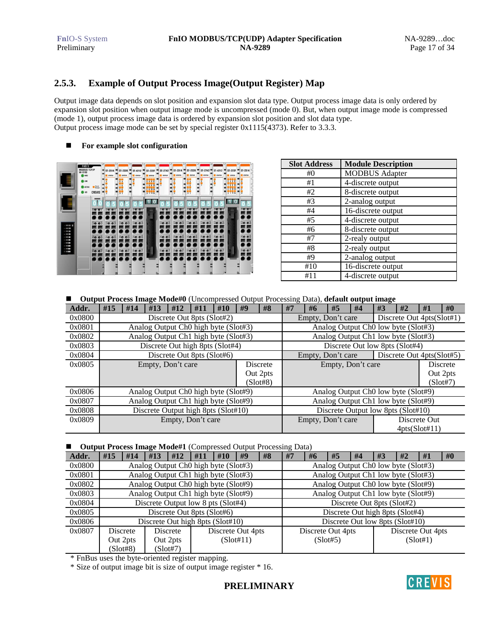# **2.5.3. Example of Output Process Image(Output Register) Map**

Output image data depends on slot position and expansion slot data type. Output process image data is only ordered by expansion slot position when output image mode is uncompressed (mode 0). But, when output image mode is compressed (mode 1), output process image data is ordered by expansion slot position and slot data type. Output process image mode can be set by special register 0x1115(4373). Refer to 3.3.3.

#### -**For example slot configuration**



| <b>Slot Address</b> | <b>Module Description</b> |
|---------------------|---------------------------|
| #()                 | <b>MODBUS</b> Adapter     |
| #1                  | 4-discrete output         |
| #2                  | 8-discrete output         |
| #3                  | 2-analog output           |
| #4                  | 16-discrete output        |
| #5                  | 4-discrete output         |
| #6                  | 8-discrete output         |
| #7                  | 2-realy output            |
| #8                  | 2-realy output            |
| #9                  | 2-analog output           |
| #10                 | 16-discrete output        |
| #11                 | 4-discrete output         |

#### -**Output Process Image Mode#0** (Uncompressed Output Processing Data), **default output image**

|        | -                                                |                                      |                   |     |     |                                 |    |                   |                                |                   |                                    |                                     |                                     |                                     |                |                 |
|--------|--------------------------------------------------|--------------------------------------|-------------------|-----|-----|---------------------------------|----|-------------------|--------------------------------|-------------------|------------------------------------|-------------------------------------|-------------------------------------|-------------------------------------|----------------|-----------------|
| Addr.  | #15                                              | #14                                  | #13               | #12 | #11 | #10                             | #9 | #8                | #7                             | #6                | #5                                 | #4                                  | #3                                  | #2                                  | #1             | #0              |
| 0x0800 |                                                  | Discrete Out 8pts (Slot#2)           |                   |     |     |                                 |    |                   |                                |                   | Empty, Don't care                  |                                     |                                     | Discrete Out 4pts(Slot#1)           |                |                 |
| 0x0801 |                                                  | Analog Output Ch0 high byte (Slot#3) |                   |     |     |                                 |    |                   |                                |                   |                                    |                                     |                                     | Analog Output Ch0 low byte (Slot#3) |                |                 |
| 0x0802 |                                                  | Analog Output Ch1 high byte (Slot#3) |                   |     |     |                                 |    |                   |                                |                   |                                    |                                     |                                     | Analog Output Ch1 low byte (Slot#3) |                |                 |
| 0x0803 |                                                  |                                      |                   |     |     | Discrete Out high 8pts (Slot#4) |    |                   | Discrete Out low 8pts (Slot#4) |                   |                                    |                                     |                                     |                                     |                |                 |
| 0x0804 | Discrete Out 8pts (Slot#6)                       |                                      |                   |     |     |                                 |    | Empty, Don't care |                                |                   | Discrete Out 4pts(Slot#5)          |                                     |                                     |                                     |                |                 |
| 0x0805 |                                                  |                                      | Empty, Don't care |     |     |                                 |    | <b>Discrete</b>   |                                |                   | Empty, Don't care                  |                                     |                                     |                                     |                | <b>Discrete</b> |
|        |                                                  |                                      |                   |     |     |                                 |    | Out 2pts          |                                |                   |                                    |                                     |                                     |                                     |                | Out 2pts        |
|        | (Slot#8)                                         |                                      |                   |     |     |                                 |    |                   |                                |                   |                                    |                                     | (Slot#7)                            |                                     |                |                 |
| 0x0806 | Analog Output Ch <sub>0</sub> high byte (Slot#9) |                                      |                   |     |     |                                 |    |                   |                                |                   |                                    |                                     | Analog Output Ch0 low byte (Slot#9) |                                     |                |                 |
| 0x0807 | Analog Output Ch1 high byte (Slot#9)             |                                      |                   |     |     |                                 |    |                   |                                |                   |                                    | Analog Output Ch1 low byte (Slot#9) |                                     |                                     |                |                 |
| 0x0808 | Discrete Output high 8pts (Slot#10)              |                                      |                   |     |     |                                 |    |                   |                                |                   | Discrete Output low 8pts (Slot#10) |                                     |                                     |                                     |                |                 |
| 0x0809 | Empty, Don't care                                |                                      |                   |     |     |                                 |    |                   |                                | Empty, Don't care |                                    |                                     |                                     | Discrete Out                        |                |                 |
|        |                                                  |                                      |                   |     |     |                                 |    |                   |                                |                   |                                    |                                     |                                     |                                     | 4pts(Slott#11) |                 |

### ■ **Output Process Image Mode#1** (Compressed Output Processing Data)

| Addr.  | #15                                  | #14      | #13 | #12      | #11 | #10                             | #9                                  | #8                                              | #7 | #6                | #5       | #4 | #3 | #2                | #1       | #0 |
|--------|--------------------------------------|----------|-----|----------|-----|---------------------------------|-------------------------------------|-------------------------------------------------|----|-------------------|----------|----|----|-------------------|----------|----|
| 0x0800 | Analog Output Ch0 high byte (Slot#3) |          |     |          |     |                                 |                                     | Analog Output Ch <sub>0</sub> low byte (Slot#3) |    |                   |          |    |    |                   |          |    |
| 0x0801 | Analog Output Ch1 high byte (Slot#3) |          |     |          |     |                                 |                                     | Analog Output Ch1 low byte (Slot#3)             |    |                   |          |    |    |                   |          |    |
| 0x0802 | Analog Output Ch0 high byte (Slot#9) |          |     |          |     |                                 | Analog Output Ch0 low byte (Slot#9) |                                                 |    |                   |          |    |    |                   |          |    |
| 0x0803 | Analog Output Ch1 high byte (Slot#9) |          |     |          |     |                                 | Analog Output Ch1 low byte (Slot#9) |                                                 |    |                   |          |    |    |                   |          |    |
| 0x0804 | Discrete Output low 8 pts (Slot#4)   |          |     |          |     |                                 |                                     | Discrete Out 8pts (Slot#2)                      |    |                   |          |    |    |                   |          |    |
| 0x0805 | Discrete Out 8pts (Slot#6)           |          |     |          |     |                                 |                                     | Discrete Out high 8pts (Slot#4)                 |    |                   |          |    |    |                   |          |    |
| 0x0806 | Discrete Out high 8pts (Slot#10)     |          |     |          |     | Discrete Out low 8pts (Slot#10) |                                     |                                                 |    |                   |          |    |    |                   |          |    |
| 0x0807 |                                      | Discrete |     | Discrete |     |                                 | Discrete Out 4pts                   |                                                 |    | Discrete Out 4pts |          |    |    | Discrete Out 4pts |          |    |
|        |                                      | Out 2pts |     | Out 2pts |     |                                 | (Slot#11)                           |                                                 |    |                   | (Slot#5) |    |    |                   | (Slot#1) |    |
|        |                                      | (Slot#8) |     | (Slot#7) |     |                                 |                                     |                                                 |    |                   |          |    |    |                   |          |    |

\* FnBus uses the byte-oriented register mapping.

\* Size of output image bit is size of output image register \* 16.

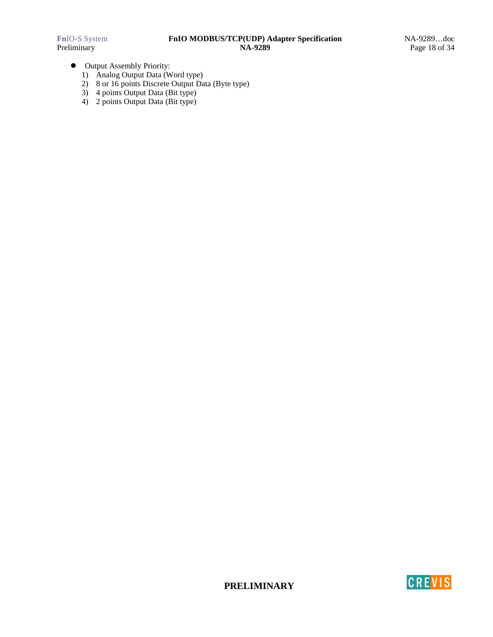- $\bullet$  Output Assembly Priority:
	- 1) Analog Output Data (Word type)
	- 2) 8 or 16 points Discrete Output Data (Byte type)
	- 3) 4 points Output Data (Bit type)
	- 4) 2 points Output Data (Bit type)



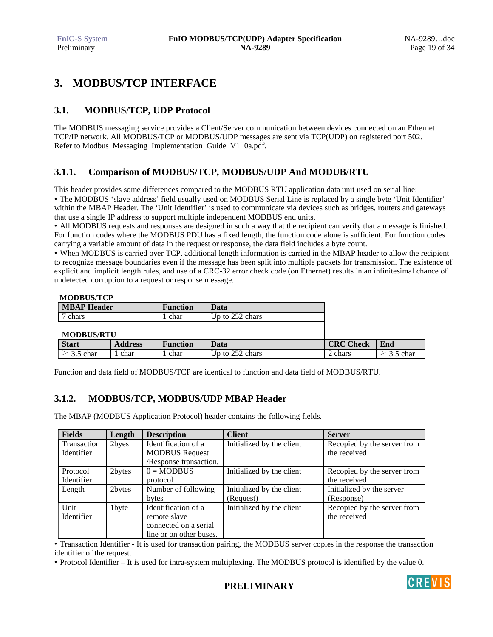# **3. MODBUS/TCP INTERFACE**

# **3.1. MODBUS/TCP, UDP Protocol**

The MODBUS messaging service provides a Client/Server communication between devices connected on an Ethernet TCP/IP network. All MODBUS/TCP or MODBUS/UDP messages are sent via TCP(UDP) on registered port 502. Refer to Modbus\_Messaging\_Implementation\_Guide\_V1\_0a.pdf.

# **3.1.1. Comparison of MODBUS/TCP, MODBUS/UDP And MODUB/RTU**

This header provides some differences compared to the MODBUS RTU application data unit used on serial line: • The MODBUS 'slave address' field usually used on MODBUS Serial Line is replaced by a single byte 'Unit Identifier' within the MBAP Header. The 'Unit Identifier' is used to communicate via devices such as bridges, routers and gateways that use a single IP address to support multiple independent MODBUS end units.

• All MODBUS requests and responses are designed in such a way that the recipient can verify that a message is finished. For function codes where the MODBUS PDU has a fixed length, the function code alone is sufficient. For function codes carrying a variable amount of data in the request or response, the data field includes a byte count.

• When MODBUS is carried over TCP, additional length information is carried in the MBAP header to allow the recipient to recognize message boundaries even if the message has been split into multiple packets for transmission. The existence of explicit and implicit length rules, and use of a CRC-32 error check code (on Ethernet) results in an infinitesimal chance of undetected corruption to a request or response message.

| <b>MBAP</b> Header |                | <b>Function</b> | Data            |                  |                 |
|--------------------|----------------|-----------------|-----------------|------------------|-----------------|
| 7 chars            |                | char            | Up to 252 chars |                  |                 |
|                    |                |                 |                 |                  |                 |
| <b>MODBUS/RTU</b>  |                |                 |                 |                  |                 |
| <b>Start</b>       | <b>Address</b> | <b>Function</b> | Data            | <b>CRC Check</b> | End             |
| $\geq$ 3.5 char    | char           | char            | Up to 252 chars | 2 chars          | $\geq$ 3.5 char |

Function and data field of MODBUS/TCP are identical to function and data field of MODBUS/RTU.

# **3.1.2. MODBUS/TCP, MODBUS/UDP MBAP Header**

The MBAP (MODBUS Application Protocol) header contains the following fields.

| <b>Fields</b> | Length | <b>Description</b>      | <b>Client</b>             | <b>Server</b>               |
|---------------|--------|-------------------------|---------------------------|-----------------------------|
| Transaction   | 2byes  | Identification of a     | Initialized by the client | Recopied by the server from |
| Identifier    |        | <b>MODBUS Request</b>   |                           | the received                |
|               |        | /Response transaction.  |                           |                             |
| Protocol      | 2bytes | $0 = MODBUS$            | Initialized by the client | Recopied by the server from |
| Identifier    |        | protocol                |                           | the received                |
| Length        | 2bytes | Number of following     | Initialized by the client | Initialized by the server   |
|               |        | bytes                   | (Request)                 | (Response)                  |
| Unit          | 1byte  | Identification of a     | Initialized by the client | Recopied by the server from |
| Identifier    |        | remote slave            |                           | the received                |
|               |        | connected on a serial   |                           |                             |
|               |        | line or on other buses. |                           |                             |

• Transaction Identifier - It is used for transaction pairing, the MODBUS server copies in the response the transaction identifier of the request.

• Protocol Identifier – It is used for intra-system multiplexing. The MODBUS protocol is identified by the value 0.



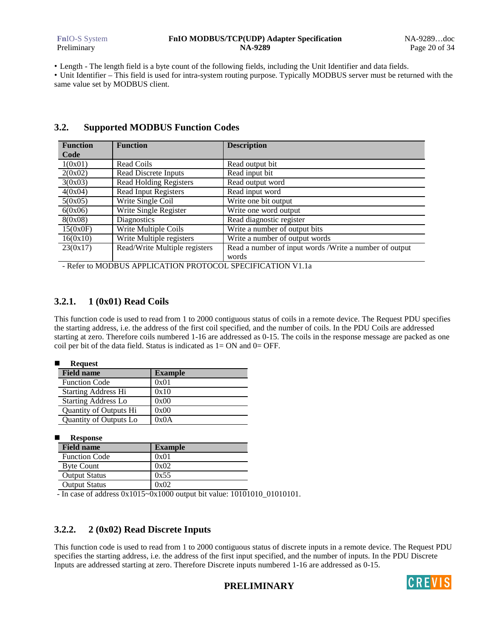### **Fn**IO-S System **FnIO MODBUS/TCP(UDP) Adapter Specification** NA-9289…doc Preliminary **NA-9289** Page 20 of 34

• Length - The length field is a byte count of the following fields, including the Unit Identifier and data fields.

• Unit Identifier – This field is used for intra-system routing purpose. Typically MODBUS server must be returned with the same value set by MODBUS client.

| <b>Function</b> | <b>Function</b>               | <b>Description</b>                                     |
|-----------------|-------------------------------|--------------------------------------------------------|
| Code            |                               |                                                        |
| 1(0x01)         | Read Coils                    | Read output bit                                        |
| 2(0x02)         | Read Discrete Inputs          | Read input bit                                         |
| 3(0x03)         | <b>Read Holding Registers</b> | Read output word                                       |
| 4(0x04)         | Read Input Registers          | Read input word                                        |
| 5(0x05)         | Write Single Coil             | Write one bit output                                   |
| 6(0x06)         | Write Single Register         | Write one word output                                  |
| 8(0x08)         | <b>Diagnostics</b>            | Read diagnostic register                               |
| 15(0x0F)        | Write Multiple Coils          | Write a number of output bits                          |
| 16(0x10)        | Write Multiple registers      | Write a number of output words                         |
| 23(0x17)        | Read/Write Multiple registers | Read a number of input words /Write a number of output |
|                 |                               | words                                                  |

## **3.2. Supported MODBUS Function Codes**

- Refer to MODBUS APPLICATION PROTOCOL SPECIFICATION V1.1a

# **3.2.1. 1 (0x01) Read Coils**

This function code is used to read from 1 to 2000 contiguous status of coils in a remote device. The Request PDU specifies the starting address, i.e. the address of the first coil specified, and the number of coils. In the PDU Coils are addressed starting at zero. Therefore coils numbered 1-16 are addressed as 0-15. The coils in the response message are packed as one coil per bit of the data field. Status is indicated as  $1=ON$  and  $0=OFF$ .

|  | Request |
|--|---------|
|  |         |

| <b>Field name</b>          | <b>Example</b> |
|----------------------------|----------------|
| <b>Function Code</b>       | 0x01           |
| <b>Starting Address Hi</b> | 0x10           |
| <b>Starting Address Lo</b> | 0x00           |
| Quantity of Outputs Hi     | 0x00           |
| Quantity of Outputs Lo     | 0x0A           |

| <b>Response</b>      |                |  |  |  |  |  |
|----------------------|----------------|--|--|--|--|--|
| <b>Field name</b>    | <b>Example</b> |  |  |  |  |  |
| <b>Function Code</b> | 0x01           |  |  |  |  |  |
| <b>Byte Count</b>    | 0x02           |  |  |  |  |  |
| <b>Output Status</b> | 0x55           |  |  |  |  |  |
| <b>Output Status</b> |                |  |  |  |  |  |

- In case of address 0x1015~0x1000 output bit value: 10101010\_01010101.

# **3.2.2. 2 (0x02) Read Discrete Inputs**

This function code is used to read from 1 to 2000 contiguous status of discrete inputs in a remote device. The Request PDU specifies the starting address, i.e. the address of the first input specified, and the number of inputs. In the PDU Discrete Inputs are addressed starting at zero. Therefore Discrete inputs numbered 1-16 are addressed as 0-15.



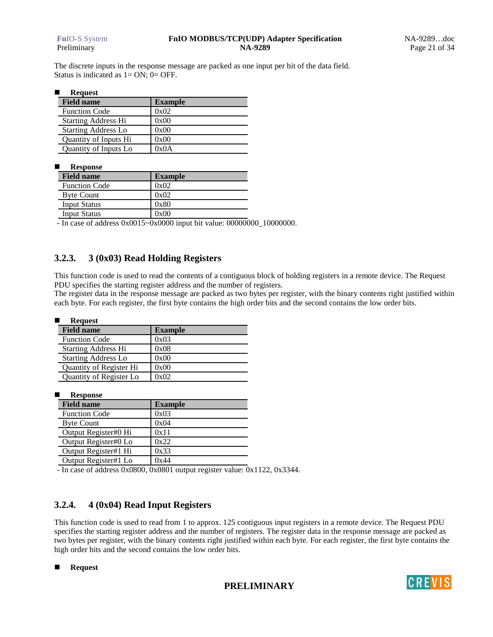The discrete inputs in the response message are packed as one input per bit of the data field. Status is indicated as  $1 = ON$ ;  $0 = OFF$ .

#### -**Request**

| <b>Field name</b>          | <b>Example</b> |
|----------------------------|----------------|
| <b>Function Code</b>       | 0x02           |
| <b>Starting Address Hi</b> | 0x00           |
| <b>Starting Address Lo</b> | 0x00           |
| Quantity of Inputs Hi      | 0x00           |
| Quantity of Inputs Lo      | 0x0A           |

#### -**Response**

| <b>Field name</b>    | <b>Example</b> |
|----------------------|----------------|
| <b>Function Code</b> | 0x02           |
| <b>Byte Count</b>    | 0x02           |
| <b>Input Status</b>  | 0x80           |
| <b>Input Status</b>  | 0x00           |

- In case of address 0x0015~0x0000 input bit value: 00000000\_10000000.

### **3.2.3. 3 (0x03) Read Holding Registers**

This function code is used to read the contents of a contiguous block of holding registers in a remote device. The Request PDU specifies the starting register address and the number of registers.

The register data in the response message are packed as two bytes per register, with the binary contents right justified within each byte. For each register, the first byte contains the high order bits and the second contains the low order bits.

| <b>Request</b>             |                |
|----------------------------|----------------|
| <b>Field name</b>          | <b>Example</b> |
| <b>Function Code</b>       | 0x03           |
| <b>Starting Address Hi</b> | 0x08           |
| <b>Starting Address Lo</b> | 0x00           |
| Quantity of Register Hi    | 0x00           |
| Quantity of Register Lo    | 0x02           |

-**Response**

| <b>Field name</b>    | <b>Example</b> |
|----------------------|----------------|
| <b>Function Code</b> | 0x03           |
| <b>Byte Count</b>    | 0x04           |
| Output Register#0 Hi | 0x11           |
| Output Register#0 Lo | 0x22           |
| Output Register#1 Hi | 0x33           |
| Output Register#1 Lo | 0x44           |
|                      | $\sim$<br>.    |

- In case of address 0x0800, 0x0801 output register value: 0x1122, 0x3344.

### **3.2.4. 4 (0x04) Read Input Registers**

This function code is used to read from 1 to approx. 125 contiguous input registers in a remote device. The Request PDU specifies the starting register address and the number of registers. The register data in the response message are packed as two bytes per register, with the binary contents right justified within each byte. For each register, the first byte contains the high order bits and the second contains the low order bits.

-**Request**

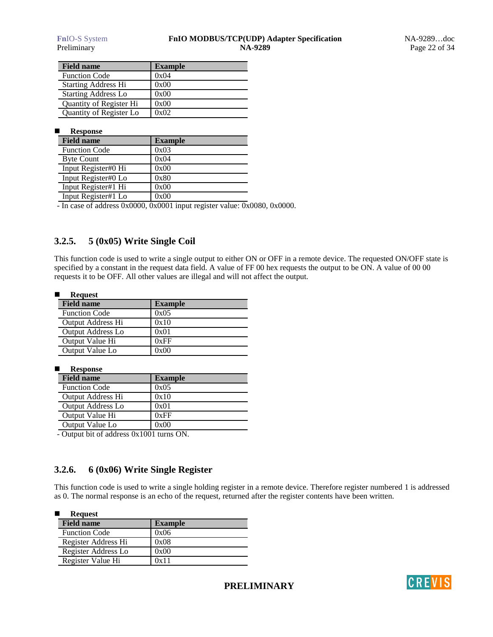| <b>Field name</b>          | <b>Example</b> |
|----------------------------|----------------|
| <b>Function Code</b>       | 0x04           |
| <b>Starting Address Hi</b> | 0x00           |
| <b>Starting Address Lo</b> | 0x00           |
| Quantity of Register Hi    | 0x00           |
| Quantity of Register Lo    | 0x02           |

### **E** Response

| <b>Field name</b>    | <b>Example</b> |
|----------------------|----------------|
| <b>Function Code</b> | 0x03           |
| <b>Byte Count</b>    | 0x04           |
| Input Register#0 Hi  | 0x00           |
| Input Register#0 Lo  | 0x80           |
| Input Register#1 Hi  | 0x00           |
| Input Register#1 Lo  | 0x00           |

- In case of address 0x0000, 0x0001 input register value: 0x0080, 0x0000.

# **3.2.5. 5 (0x05) Write Single Coil**

This function code is used to write a single output to either ON or OFF in a remote device. The requested ON/OFF state is specified by a constant in the request data field. A value of FF 00 hex requests the output to be ON. A value of 00 00 requests it to be OFF. All other values are illegal and will not affect the output.

#### -**Request**

| $\cdots$ $\cdots$        |                |  |
|--------------------------|----------------|--|
| <b>Field name</b>        | <b>Example</b> |  |
| <b>Function Code</b>     | 0x05           |  |
| <b>Output Address Hi</b> | 0x10           |  |
| <b>Output Address Lo</b> | 0x01           |  |
| Output Value Hi          | 0xFF           |  |
| Output Value Lo          | 0x00           |  |

#### -**Response**

| <b>Field name</b>        | <b>Example</b> |
|--------------------------|----------------|
| <b>Function Code</b>     | 0x05           |
| <b>Output Address Hi</b> | 0x10           |
| <b>Output Address Lo</b> | 0x01           |
| Output Value Hi          | 0xFF           |
| Output Value Lo          | 0x00           |

- Output bit of address 0x1001 turns ON.

### **3.2.6. 6 (0x06) Write Single Register**

This function code is used to write a single holding register in a remote device. Therefore register numbered 1 is addressed as 0. The normal response is an echo of the request, returned after the register contents have been written.

| <b>Request</b>       |                |
|----------------------|----------------|
| <b>Field name</b>    | <b>Example</b> |
| <b>Function Code</b> | 0x06           |
| Register Address Hi  | 0x08           |
| Register Address Lo  | 0x00           |
| Register Value Hi    | 0x11           |

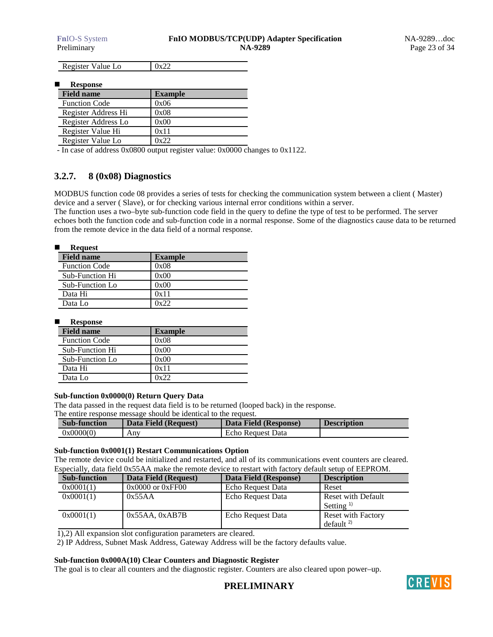Register Value Lo  $\vert$  0x22

-**Response**

| <b>Field name</b>    | <b>Example</b> |
|----------------------|----------------|
| <b>Function Code</b> | 0x06           |
| Register Address Hi  | 0x08           |
| Register Address Lo  | 0x00           |
| Register Value Hi    | 0x11           |
| Register Value Lo    | በ⊽ንን           |

- In case of address 0x0800 output register value: 0x0000 changes to 0x1122.

# **3.2.7. 8 (0x08) Diagnostics**

MODBUS function code 08 provides a series of tests for checking the communication system between a client ( Master) device and a server ( Slave), or for checking various internal error conditions within a server.

The function uses a two–byte sub-function code field in the query to define the type of test to be performed. The server echoes both the function code and sub-function code in a normal response. Some of the diagnostics cause data to be returned from the remote device in the data field of a normal response.

| <b>Request</b>       |                |
|----------------------|----------------|
| <b>Field name</b>    | <b>Example</b> |
| <b>Function Code</b> | 0x08           |
| Sub-Function Hi      | 0x00           |
| Sub-Function Lo      | 0x00           |
| Data Hi              | 0x11           |
| Data Lo              | 0x22           |

-**Response**

| <b>Field name</b>      | <b>Example</b> |
|------------------------|----------------|
| <b>Function Code</b>   | 0x08           |
| <b>Sub-Function Hi</b> | 0x00           |
| Sub-Function Lo        | 0x00           |
| Data Hi                | 0x11           |
| Data Lo                | 0x22           |

### **Sub-function 0x0000(0) Return Query Data**

The data passed in the request data field is to be returned (looped back) in the response.

The entire response message should be identical to the request.

| <b>Sub-function</b> | Data Field (Request) | Data Field (Response) | <b>Description</b> |
|---------------------|----------------------|-----------------------|--------------------|
| 0x0000(0)           | Anv                  | Echo Request Data     |                    |

### **Sub-function 0x0001(1) Restart Communications Option**

The remote device could be initialized and restarted, and all of its communications event counters are cleared. Especially, data field 0x55AA make the remote device to restart with factory default setup of EEPROM.

| <b>Sub-function</b> | Data Field (Request) | Data Field (Response) | <b>Description</b>        |
|---------------------|----------------------|-----------------------|---------------------------|
| 0x0001(1)           | $0x0000$ or $0xFF00$ | Echo Request Data     | Reset                     |
| 0x0001(1)           | 0x55AA               | Echo Request Data     | Reset with Default        |
|                     |                      |                       | Setting $\frac{1}{2}$     |
| 0x0001(1)           | $0x55AA$ , $0xAB7B$  | Echo Request Data     | <b>Reset with Factory</b> |
|                     |                      |                       | default <sup>2</sup>      |

1),2) All expansion slot configuration parameters are cleared.

2) IP Address, Subnet Mask Address, Gateway Address will be the factory defaults value.

### **Sub-function 0x000A(10) Clear Counters and Diagnostic Register**

The goal is to clear all counters and the diagnostic register. Counters are also cleared upon power–up.

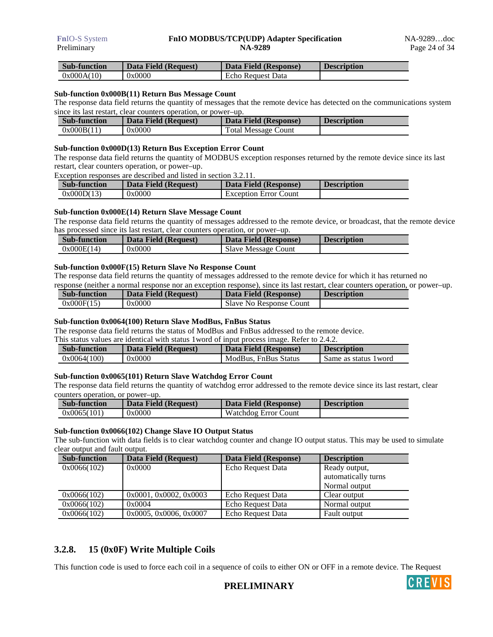| <b>Sub-function</b> | Data Field (Request) | Data Field (Response) | <b>Description</b> |
|---------------------|----------------------|-----------------------|--------------------|
| 0x000A(10)          | 0x0000               | Echo Request Data     |                    |

### **Sub-function 0x000B(11) Return Bus Message Count**

The response data field returns the quantity of messages that the remote device has detected on the communications system since its last restart, clear counters operation, or power–up.

| <b>Sub-function</b> | Data Field (Request) | Data Field (Response)      | <b>Description</b> |
|---------------------|----------------------|----------------------------|--------------------|
| 0x000B(11)          | 0x0000               | <b>Total Message Count</b> |                    |

### **Sub-function 0x000D(13) Return Bus Exception Error Count**

The response data field returns the quantity of MODBUS exception responses returned by the remote device since its last restart, clear counters operation, or power–up.

Exception responses are described and listed in section 3.2.11.

| <b>Sub-function</b> | Data Field (Request) | Data Field (Response)        | <b>Description</b> |
|---------------------|----------------------|------------------------------|--------------------|
| 0x000D(13)          | 0x0000               | <b>Exception Error Count</b> |                    |

### **Sub-function 0x000E(14) Return Slave Message Count**

The response data field returns the quantity of messages addressed to the remote device, or broadcast, that the remote device has processed since its last restart, clear counters operation, or power–up.

| <b>Sub-function</b> | Data Field (Request) | Data Field (Response)      | <b>Description</b> |
|---------------------|----------------------|----------------------------|--------------------|
| 0x000E(14)          | 0x0000               | <b>Slave Message Count</b> |                    |

### **Sub-function 0x000F(15) Return Slave No Response Count**

The response data field returns the quantity of messages addressed to the remote device for which it has returned no response (neither a normal response nor an exception response), since its last restart, clear counters operation, or power–up.

| <b>Sub-function</b> | Data Field (Request) | Data Field (Response)   | <b>Description</b> |
|---------------------|----------------------|-------------------------|--------------------|
| 0x000F(15)          | 0x0000               | Slave No Response Count |                    |

### **Sub-function 0x0064(100) Return Slave ModBus, FnBus Status**

The response data field returns the status of ModBus and FnBus addressed to the remote device.

This status values are identical with status 1word of input process image. Refer to 2.4.2.

| <b>Sub-function</b> | Data Field (Request) | Data Field (Response) | <b>Description</b>    |
|---------------------|----------------------|-----------------------|-----------------------|
| 0x0064(100)         | 0x0000               | ModBus, FnBus Status  | Same as status 1 word |

### **Sub-function 0x0065(101) Return Slave Watchdog Error Count**

The response data field returns the quantity of watchdog error addressed to the remote device since its last restart, clear counters operation, or power–up.

| <b>Sub-function</b> | Data Field (Request) | Data Field (Response) | <b>Description</b> |
|---------------------|----------------------|-----------------------|--------------------|
| 0x0065(101)         | 0x0000               | Watchdog Error Count  |                    |

### **Sub-function 0x0066(102) Change Slave IO Output Status**

The sub-function with data fields is to clear watchdog counter and change IO output status. This may be used to simulate clear output and fault output.

| <b>Sub-function</b> | Data Field (Request)   | Data Field (Response) | <b>Description</b>  |
|---------------------|------------------------|-----------------------|---------------------|
| 0x0066(102)         | 0x0000                 | Echo Request Data     | Ready output,       |
|                     |                        |                       | automatically turns |
|                     |                        |                       | Normal output       |
| 0x0066(102)         | 0x0001, 0x0002, 0x0003 | Echo Request Data     | Clear output        |
| 0x0066(102)         | 0x0004                 | Echo Request Data     | Normal output       |
| 0x0066(102)         | 0x0005, 0x0006, 0x0007 | Echo Request Data     | Fault output        |

### **3.2.8. 15 (0x0F) Write Multiple Coils**

This function code is used to force each coil in a sequence of coils to either ON or OFF in a remote device. The Request



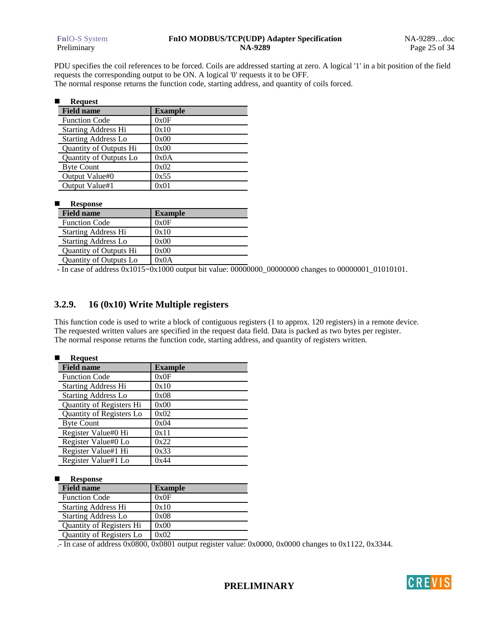PDU specifies the coil references to be forced. Coils are addressed starting at zero. A logical '1' in a bit position of the field requests the corresponding output to be ON. A logical '0' requests it to be OFF.

The normal response returns the function code, starting address, and quantity of coils forced.

| <b>Request</b>             |                |  |
|----------------------------|----------------|--|
| <b>Field name</b>          | <b>Example</b> |  |
| <b>Function Code</b>       | 0x0F           |  |
| <b>Starting Address Hi</b> | 0x10           |  |
| <b>Starting Address Lo</b> | 0x00           |  |
| Quantity of Outputs Hi     | 0x00           |  |
| Quantity of Outputs Lo     | 0x0A           |  |
| <b>Byte Count</b>          | 0x02           |  |
| Output Value#0             | 0x55           |  |
| Output Value#1             | 0x01           |  |

#### -**Response**

| <b>Field name</b>          | <b>Example</b> |
|----------------------------|----------------|
| <b>Function Code</b>       | 0x0F           |
| <b>Starting Address Hi</b> | 0x10           |
| <b>Starting Address Lo</b> | 0x00           |
| Quantity of Outputs Hi     | 0x00           |
| Quantity of Outputs Lo     | 0x0A           |

- In case of address 0x1015~0x1000 output bit value: 00000000\_00000000 changes to 00000001\_01010101.

### **3.2.9. 16 (0x10) Write Multiple registers**

This function code is used to write a block of contiguous registers (1 to approx. 120 registers) in a remote device. The requested written values are specified in the request data field. Data is packed as two bytes per register. The normal response returns the function code, starting address, and quantity of registers written.

#### -**Request**

| <b>Field name</b>          | <b>Example</b> |
|----------------------------|----------------|
| <b>Function Code</b>       | 0x0F           |
| <b>Starting Address Hi</b> | 0x10           |
| <b>Starting Address Lo</b> | 0x08           |
| Quantity of Registers Hi   | 0x00           |
| Quantity of Registers Lo   | 0x02           |
| <b>Byte Count</b>          | 0x04           |
| Register Value#0 Hi        | 0x11           |
| Register Value#0 Lo        | 0x22           |
| Register Value#1 Hi        | 0x33           |
| Register Value#1 Lo        | 0x44           |

-**Response**

| <b>Field name</b>          | <b>Example</b> |
|----------------------------|----------------|
| <b>Function Code</b>       | 0x0F           |
| <b>Starting Address Hi</b> | 0x10           |
| <b>Starting Address Lo</b> | 0x08           |
| Quantity of Registers Hi   | 0x00           |
| Quantity of Registers Lo   | 0x02           |

.- In case of address 0x0800, 0x0801 output register value: 0x0000, 0x0000 changes to 0x1122, 0x3344.

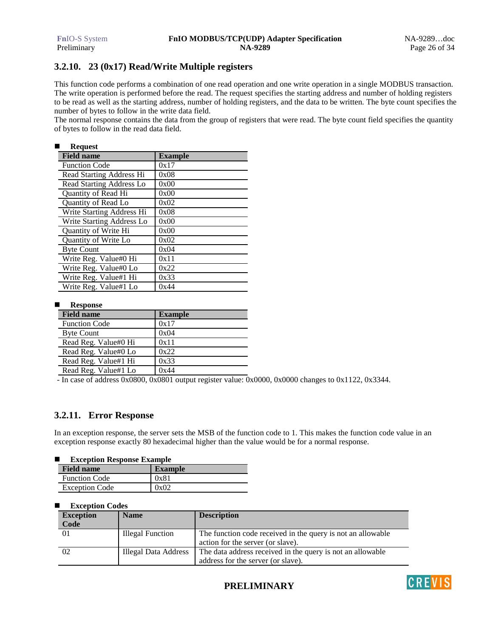# **3.2.10. 23 (0x17) Read/Write Multiple registers**

This function code performs a combination of one read operation and one write operation in a single MODBUS transaction. The write operation is performed before the read. The request specifies the starting address and number of holding registers to be read as well as the starting address, number of holding registers, and the data to be written. The byte count specifies the number of bytes to follow in the write data field.

The normal response contains the data from the group of registers that were read. The byte count field specifies the quantity of bytes to follow in the read data field.

#### -**Request**

| <b>Field name</b>           | <b>Example</b> |
|-----------------------------|----------------|
| <b>Function Code</b>        | 0x17           |
| Read Starting Address Hi    | 0x08           |
| Read Starting Address Lo    | 0x00           |
| <b>Ouantity of Read Hi</b>  | 0x00           |
| <b>Ouantity of Read Lo</b>  | 0x02           |
| Write Starting Address Hi   | 0x08           |
| Write Starting Address Lo   | 0x00           |
| <b>Ouantity of Write Hi</b> | 0x00           |
| Quantity of Write Lo        | 0x02           |
| <b>Byte Count</b>           | 0x04           |
| Write Reg. Value#0 Hi       | 0x11           |
| Write Reg. Value#0 Lo       | 0x22           |
| Write Reg. Value#1 Hi       | 0x33           |
| Write Reg. Value#1 Lo       | 0x44           |

#### -**Response**

| <b>Field name</b>    | <b>Example</b> |
|----------------------|----------------|
| <b>Function Code</b> | 0x17           |
| <b>Byte Count</b>    | 0x04           |
| Read Reg. Value#0 Hi | 0x11           |
| Read Reg. Value#0 Lo | 0x22           |
| Read Reg. Value#1 Hi | 0x33           |
| Read Reg. Value#1 Lo | 0x44           |

- In case of address 0x0800, 0x0801 output register value: 0x0000, 0x0000 changes to 0x1122, 0x3344.

### **3.2.11. Error Response**

In an exception response, the server sets the MSB of the function code to 1. This makes the function code value in an exception response exactly 80 hexadecimal higher than the value would be for a normal response.

#### -**Exception Response Example**

| <b>Field name</b>     | <b>Example</b> |
|-----------------------|----------------|
| <b>Function Code</b>  | 0x81           |
| <b>Exception Code</b> | 0x02           |

#### -**Exception Codes**

| <b>Exception</b> | <b>Name</b>             | <b>Description</b>                                                                               |
|------------------|-------------------------|--------------------------------------------------------------------------------------------------|
| Code             |                         |                                                                                                  |
| 01               | <b>Illegal Function</b> | The function code received in the query is not an allowable<br>action for the server (or slave). |
| 02               | Illegal Data Address    | The data address received in the query is not an allowable                                       |
|                  |                         | address for the server (or slave).                                                               |

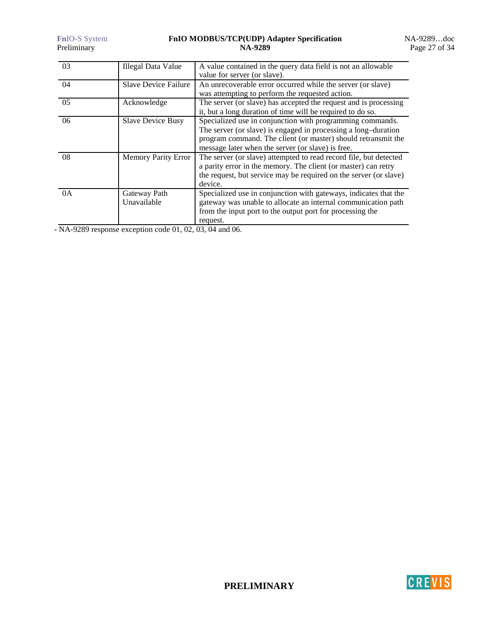### **Fn**IO-S System **FnIO MODBUS/TCP(UDP) Adapter Specification** NA-9289…doc Preliminary **NA-9289** Preliminary Page 27 of 34

| 03 | <b>Illegal Data Value</b>   | A value contained in the query data field is not an allowable     |
|----|-----------------------------|-------------------------------------------------------------------|
|    |                             | value for server (or slave).                                      |
| 04 | <b>Slave Device Failure</b> | An unrecoverable error occurred while the server (or slave)       |
|    |                             | was attempting to perform the requested action.                   |
| 05 | Acknowledge                 | The server (or slave) has accepted the request and is processing  |
|    |                             | it, but a long duration of time will be required to do so.        |
| 06 | <b>Slave Device Busy</b>    | Specialized use in conjunction with programming commands.         |
|    |                             | The server (or slave) is engaged in processing a long-duration    |
|    |                             | program command. The client (or master) should retransmit the     |
|    |                             | message later when the server (or slave) is free.                 |
| 08 | <b>Memory Parity Error</b>  | The server (or slave) attempted to read record file, but detected |
|    |                             | a parity error in the memory. The client (or master) can retry    |
|    |                             | the request, but service may be required on the server (or slave) |
|    |                             | device.                                                           |
| 0A | Gateway Path                | Specialized use in conjunction with gateways, indicates that the  |
|    | Unavailable                 | gateway was unable to allocate an internal communication path     |
|    |                             | from the input port to the output port for processing the         |
|    |                             | request.                                                          |

- NA-9289 response exception code 01, 02, 03, 04 and 06.

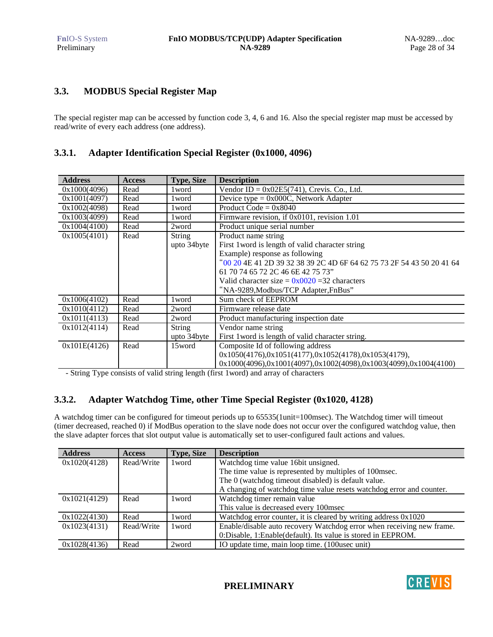# **3.3. MODBUS Special Register Map**

The special register map can be accessed by function code 3, 4, 6 and 16. Also the special register map must be accessed by read/write of every each address (one address).

### **3.3.1. Adapter Identification Special Register (0x1000, 4096)**

| <b>Address</b> | <b>Access</b> | <b>Type, Size</b> | <b>Description</b>                                                    |  |  |  |
|----------------|---------------|-------------------|-----------------------------------------------------------------------|--|--|--|
| 0x1000(4096)   | Read          | 1 word            | Vendor ID = $0x02E5(741)$ , Crevis. Co., Ltd.                         |  |  |  |
| 0x1001(4097)   | Read          | 1 word            | Device type = $0x000C$ , Network Adapter                              |  |  |  |
| 0x1002(4098)   | Read          | 1 word            | Product Code = $0x8040$                                               |  |  |  |
| 0x1003(4099)   | Read          | 1 word            | Firmware revision, if 0x0101, revision 1.01                           |  |  |  |
| 0x1004(4100)   | Read          | 2word             | Product unique serial number                                          |  |  |  |
| 0x1005(4101)   | Read          | <b>String</b>     | Product name string                                                   |  |  |  |
|                |               | upto 34byte       | First 1 word is length of valid character string                      |  |  |  |
|                |               |                   | Example) response as following                                        |  |  |  |
|                |               |                   | "00 20 4E 41 2D 39 32 38 39 2C 4D 6F 64 62 75 73 2F 54 43 50 20 41 64 |  |  |  |
|                |               |                   | 61 70 74 65 72 2C 46 6E 42 75 73"                                     |  |  |  |
|                |               |                   | Valid character size = $0x0020$ =32 characters                        |  |  |  |
|                |               |                   | "NA-9289, Modbus/TCP Adapter, FnBus"                                  |  |  |  |
| 0x1006(4102)   | Read          | 1 word            | Sum check of EEPROM                                                   |  |  |  |
| 0x1010(4112)   | Read          | 2word             | Firmware release date                                                 |  |  |  |
| 0x1011(4113)   | Read          | 2word             | Product manufacturing inspection date                                 |  |  |  |
| 0x1012(4114)   | Read          | <b>String</b>     | Vendor name string                                                    |  |  |  |
|                |               | upto 34byte       | First 1word is length of valid character string.                      |  |  |  |
| 0x101E(4126)   | Read          | 15word            | Composite Id of following address                                     |  |  |  |
|                |               |                   | $0x1050(4176)$ , $0x1051(4177)$ , $0x1052(4178)$ , $0x1053(4179)$ ,   |  |  |  |
|                |               |                   | 0x1000(4096),0x1001(4097),0x1002(4098),0x1003(4099),0x1004(4100)      |  |  |  |

- String Type consists of valid string length (first 1word) and array of characters

### **3.3.2. Adapter Watchdog Time, other Time Special Register (0x1020, 4128)**

A watchdog timer can be configured for timeout periods up to 65535(1unit=100msec). The Watchdog timer will timeout (timer decreased, reached 0) if ModBus operation to the slave node does not occur over the configured watchdog value, then the slave adapter forces that slot output value is automatically set to user-configured fault actions and values.

| <b>Address</b> | <b>Access</b> | <b>Type, Size</b> | <b>Description</b>                                                    |  |
|----------------|---------------|-------------------|-----------------------------------------------------------------------|--|
| 0x1020(4128)   | Read/Write    | 1 word            | Watchdog time value 16 bit unsigned.                                  |  |
|                |               |                   | The time value is represented by multiples of 100msec.                |  |
|                |               |                   | The 0 (watchdog timeout disabled) is default value.                   |  |
|                |               |                   | A changing of watchdog time value resets watchdog error and counter.  |  |
| 0x1021(4129)   | Read          | 1 word            | Watchdog timer remain value                                           |  |
|                |               |                   | This value is decreased every 100msec                                 |  |
| 0x1022(4130)   | Read          | 1 word            | Watchdog error counter, it is cleared by writing address 0x1020       |  |
| 0x1023(4131)   | Read/Write    | 1 word            | Enable/disable auto recovery Watchdog error when receiving new frame. |  |
|                |               |                   | 0:Disable, 1:Enable(default). Its value is stored in EEPROM.          |  |
| 0x1028(4136)   | Read          | 2word             | IO update time, main loop time. (100usec unit)                        |  |

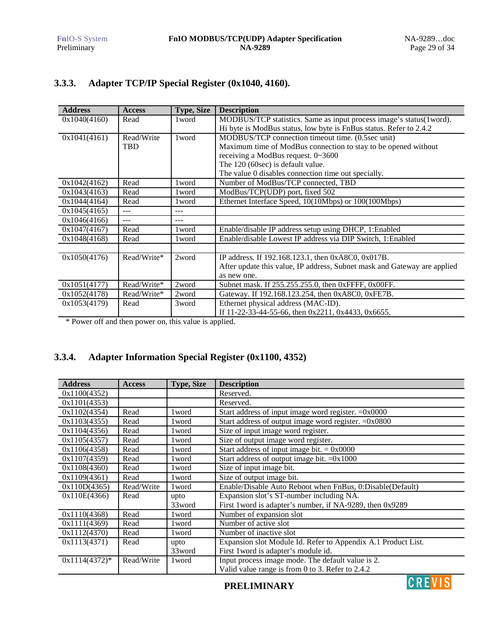| <b>Address</b> | <b>Access</b> | <b>Type, Size</b> | <b>Description</b>                                                       |
|----------------|---------------|-------------------|--------------------------------------------------------------------------|
| 0x1040(4160)   | Read          | 1 word            | MODBUS/TCP statistics. Same as input process image's status(1word).      |
|                |               |                   | Hi byte is ModBus status, low byte is FnBus status. Refer to 2.4.2       |
| 0x1041(4161)   | Read/Write    | 1 word            | MODBUS/TCP connection timeout time. (0.5sec unit)                        |
|                | <b>TBD</b>    |                   | Maximum time of ModBus connection to stay to be opened without           |
|                |               |                   | receiving a ModBus request. 0~3600                                       |
|                |               |                   | The 120 (60sec) is default value.                                        |
|                |               |                   | The value 0 disables connection time out specially.                      |
| 0x1042(4162)   | Read          | 1 word            | Number of ModBus/TCP connected, TBD                                      |
| 0x1043(4163)   | Read          | l word            | ModBus/TCP(UDP) port, fixed 502                                          |
| 0x1044(4164)   | Read          | 1 word            | Ethernet Interface Speed, 10(10Mbps) or 100(100Mbps)                     |
| 0x1045(4165)   | $-$           | ---               |                                                                          |
| 0x1046(4166)   |               | ---               |                                                                          |
| 0x1047(4167)   | Read          | 1 word            | Enable/disable IP address setup using DHCP, 1:Enabled                    |
| 0x1048(4168)   | Read          | 1 word            | Enable/disable Lowest IP address via DIP Switch, 1: Enabled              |
|                |               |                   |                                                                          |
| 0x1050(4176)   | Read/Write*   | 2word             | IP address. If 192.168.123.1, then 0xA8C0, 0x017B.                       |
|                |               |                   | After update this value, IP address, Subnet mask and Gateway are applied |
|                |               |                   | as new one.                                                              |
| 0x1051(4177)   | Read/Write*   | 2word             | Subnet mask. If 255.255.255.0, then 0xFFFF, 0x00FF.                      |
| 0x1052(4178)   | Read/Write*   | 2word             | Gateway. If 192.168.123.254, then 0xA8C0, 0xFE7B.                        |
| 0x1053(4179)   | Read          | 3word             | Ethernet physical address (MAC-ID).                                      |
|                |               |                   | If 11-22-33-44-55-66, then $0x2211$ , $0x4433$ , $0x6655$ .              |

# **3.3.3. Adapter TCP/IP Special Register (0x1040, 4160).**

\* Power off and then power on, this value is applied.

# **3.3.4. Adapter Information Special Register (0x1100, 4352)**

| <b>Address</b>  | <b>Access</b> | <b>Type, Size</b> | <b>Description</b>                                            |  |  |
|-----------------|---------------|-------------------|---------------------------------------------------------------|--|--|
| 0x1100(4352)    |               |                   | Reserved.                                                     |  |  |
| 0x1101(4353)    |               |                   | Reserved.                                                     |  |  |
| 0x1102(4354)    | Read          | 1 word            | Start address of input image word register. $=0x0000$         |  |  |
| 0x1103(4355)    | Read          | 1 word            | Start address of output image word register. $=0x0800$        |  |  |
| 0x1104(4356)    | Read          | 1 word            | Size of input image word register.                            |  |  |
| 0x1105(4357)    | Read          | 1 word            | Size of output image word register.                           |  |  |
| 0x1106(4358)    | Read          | 1 word            | Start address of input image bit. $= 0x0000$                  |  |  |
| 0x1107(4359)    | Read          | 1 word            | Start address of output image bit. $=0x1000$                  |  |  |
| 0x1108(4360)    | Read          | 1 word            | Size of input image bit.                                      |  |  |
| 0x1109(4361)    | Read          | 1 word            | Size of output image bit.                                     |  |  |
| 0x110D(4365)    | Read/Write    | 1 word            | Enable/Disable Auto Reboot when FnBus, 0:Disable(Default)     |  |  |
| 0x110E(4366)    | Read          | upto              | Expansion slot's ST-number including NA.                      |  |  |
|                 |               | 33word            | First 1 word is adapter's number, if NA-9289, then 0x9289     |  |  |
| 0x1110(4368)    | Read          | 1 word            | Number of expansion slot                                      |  |  |
| 0x1111(4369)    | Read          | 1 word            | Number of active slot                                         |  |  |
| 0x1112(4370)    | Read          | 1 word            | Number of inactive slot                                       |  |  |
| 0x1113(4371)    | Read          | upto              | Expansion slot Module Id. Refer to Appendix A.1 Product List. |  |  |
|                 |               | 33word            | First 1 word is adapter's module id.                          |  |  |
| $0x1114(4372)*$ | Read/Write    | 1 word            | Input process image mode. The default value is 2.             |  |  |
|                 |               |                   | Valid value range is from 0 to 3. Refer to 2.4.2              |  |  |

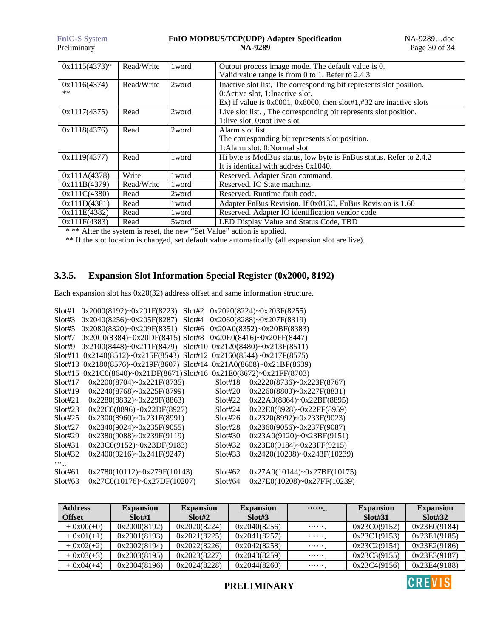| <b>FnIO-S</b> System<br>Preliminary |            |        | FnIO MODBUS/TCP(UDP) Adapter Specification<br><b>NA-9289</b>                                                                                                                                                                             | NA-9289doc<br>Page 30 of 34 |
|-------------------------------------|------------|--------|------------------------------------------------------------------------------------------------------------------------------------------------------------------------------------------------------------------------------------------|-----------------------------|
| $0x1115(4373)^*$                    | Read/Write | 1 word | Output process image mode. The default value is 0.                                                                                                                                                                                       |                             |
| 0x1116(4374)<br>$***$               | Read/Write | 2word  | Valid value range is from 0 to 1. Refer to 2.4.3<br>Inactive slot list, The corresponding bit represents slot position.<br>0: Active slot, 1: Inactive slot.<br>Ex) if value is $0x0001$ , $0x8000$ , then slot#1,#32 are inactive slots |                             |
| 0x1117(4375)                        | Read       | 2word  | Live slot list., The corresponding bit represents slot position.<br>1:live slot, 0:not live slot                                                                                                                                         |                             |
| 0x1118(4376)                        | Read       | 2word  | Alarm slot list.<br>The corresponding bit represents slot position.<br>1:Alarm slot, 0:Normal slot                                                                                                                                       |                             |
| 0x1119(4377)                        | Read       | 1 word | Hi byte is ModBus status, low byte is FnBus status. Refer to 2.4.2<br>It is identical with address $0x1040$ .                                                                                                                            |                             |
| 0x111A(4378)                        | Write      | 1 word | Reserved. Adapter Scan command.                                                                                                                                                                                                          |                             |
| 0x111B(4379)                        | Read/Write | 1 word | Reserved. IO State machine.                                                                                                                                                                                                              |                             |
| 0x111C(4380)                        | Read       | 2word  | Reserved. Runtime fault code.                                                                                                                                                                                                            |                             |
| 0x111D(4381)                        | Read       | 1 word | Adapter FnBus Revision. If 0x013C, FuBus Revision is 1.60                                                                                                                                                                                |                             |
| 0x111E(4382)                        | Read       | 1 word | Reserved. Adapter IO identification vendor code.                                                                                                                                                                                         |                             |
| 0x111F(4383)                        | Read       | 5word  | LED Display Value and Status Code, TBD                                                                                                                                                                                                   |                             |

\* \*\* After the system is reset, the new "Set Value" action is applied.

\*\* If the slot location is changed, set default value automatically (all expansion slot are live).

# **3.3.5. Expansion Slot Information Special Register (0x2000, 8192)**

Each expansion slot has 0x20(32) address offset and same information structure.

| Slot#1  | 0x2000(8192)~0x201F(8223)                                                 | Slot#2  | 0x2020(8224)~0x203F(8255)           |
|---------|---------------------------------------------------------------------------|---------|-------------------------------------|
| Slot#3  | 0x2040(8256)~0x205F(8287)<br>Slot#4                                       |         | $0x2060(8288)$ ~ $0x207F(8319)$     |
| Slot#5  | $0x2080(8320)$ ~ $0x209F(8351)$<br>Slot#6                                 |         | $0x20A0(8352)$ ~ $0x20BF(8383)$     |
| Slot#7  | $0x20C0(8384)$ ~ $0x20DF(8415)$ Slot#8                                    |         | $0x20E0(8416)$ ~ $0x20FF(8447)$     |
| Slot#9  | 0x2100(8448)~0x211F(8479)                                                 |         | Slot#10 $0x2120(8480)~0x213F(8511)$ |
| Slot#11 | 0x2140(8512)~0x215F(8543) Slot#12 0x2160(8544)~0x217F(8575)               |         |                                     |
| Slot#13 | 0x2180(8576)~0x219F(8607) Slot#14 0x21A0(8608)~0x21BF(8639)               |         |                                     |
| Slot#15 | $0x21C0(8640)$ ~ $0x21D F(8671)$ Slot#16 $0x21E0(8672)$ ~ $0x21F F(8703)$ |         |                                     |
| Slot#17 | 0x2200(8704)~0x221F(8735)                                                 | Slot#18 | 0x2220(8736)~0x223F(8767)           |
| Slot#19 | $0x2240(8768)$ ~ $0x225F(8799)$                                           | S1ot#20 | $0x2260(8800)$ ~ $0x227F(8831)$     |
| Slot#21 | $0x2280(8832)$ ~ $0x229F(8863)$                                           | Slot#22 | 0x22A0(8864)~0x22BF(8895)           |
| Slot#23 | 0x22C0(8896)~0x22DF(8927)                                                 | S1ot#24 | 0x22E0(8928)~0x22FF(8959)           |
| Slot#25 | $0x2300(8960)$ ~ $0x231F(8991)$                                           | Slot#26 | 0x2320(8992)~0x233F(9023)           |
| Slot#27 | $0x2340(9024)$ ~ $0x235F(9055)$                                           | Slot#28 | $0x2360(9056)$ ~ $0x237F(9087)$     |
| Slot#29 | $0x2380(9088)$ ~ $0x239F(9119)$                                           | Slot#30 | $0x23A0(9120)$ ~ $0x23BF(9151)$     |
| Slot#31 | $0x23C0(9152)$ ~ $0x23DF(9183)$                                           | Slot#32 | $0x23E0(9184)$ ~ $0x23FF(9215)$     |
| Slot#32 | $0x2400(9216)$ ~ $0x241F(9247)$                                           | Slot#33 | $0x2420(10208)$ ~ $0x243F(10239)$   |
|         |                                                                           |         |                                     |
| Slot#61 | $0x2780(10112)$ ~ $0x279F(10143)$                                         | Slot#62 | 0x27A0(10144)~0x27BF(10175)         |
| Slot#63 | $0x27C0(10176)$ ~ $0x27DF(10207)$                                         | Slot#64 | 0x27E0(10208)~0x27FF(10239)         |
|         |                                                                           |         |                                     |

| <b>Address</b><br><b>Offset</b> | <b>Expansion</b><br>Slot#1 | <b>Expansion</b><br>Slot#2 | <b>Expansion</b><br>Slot#3 | $\cdots \cdots$ | <b>Expansion</b><br>Slot#31 | <b>Expansion</b><br>Slot#32 |
|---------------------------------|----------------------------|----------------------------|----------------------------|-----------------|-----------------------------|-----------------------------|
| $+ 0x00(+0)$                    | 0x2000(8192)               | 0x2020(8224)               | 0x2040(8256)               |                 | 0x23C0(9152)                | 0x23E0(9184)                |
| $+ 0x01(+1)$                    | 0x2001(8193)               | 0x2021(8225)               | 0x2041(8257)               |                 | 0x23C1(9153)                | 0x23E1(9185)                |
| $+ 0x02(+2)$                    | 0x2002(8194)               | 0x2022(8226)               | 0x2042(8258)               |                 | 0x23C2(9154)                | 0x23E2(9186)                |
| $+ 0x03(+3)$                    | 0x2003(8195)               | 0x2023(8227)               | 0x2043(8259)               |                 | 0x23C3(9155)                | 0x23E3(9187)                |
| $+ 0x04(+4)$                    | 0x2004(8196)               | 0x2024(8228)               | 0x2044(8260)               |                 | 0x23C4(9156)                | 0x23E4(9188)                |

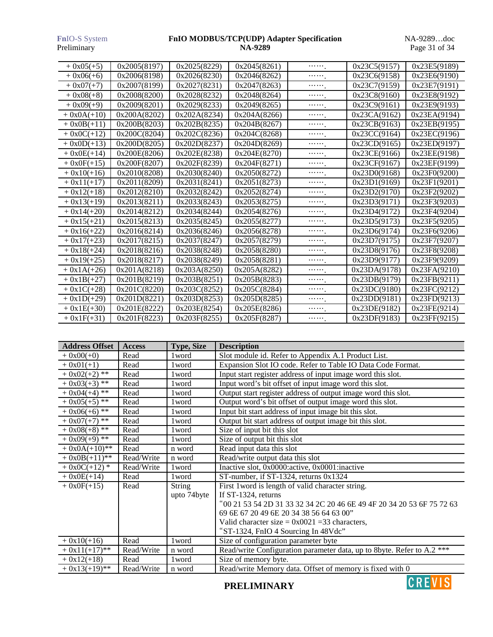### **Fn**IO-S System **FnIO MODBUS/TCP(UDP) Adapter Specification** NA-9289…doc Preliminary **NA-9289** Preliminary Page 31 of 34

| $+0x05(+5)$   | 0x2005(8197) | 0x2025(8229) | 0x2045(8261) | . <sub>.</sub>    | 0x23C5(9157) | 0x23E5(9189) |
|---------------|--------------|--------------|--------------|-------------------|--------------|--------------|
| $+0x06(+6)$   | 0x2006(8198) | 0x2026(8230) | 0x2046(8262) |                   | 0x23C6(9158) | 0x23E6(9190) |
| $+ 0x07(+7)$  | 0x2007(8199) | 0x2027(8231) | 0x2047(8263) |                   | 0x23C7(9159) | 0x23E7(9191) |
| $+0x08(+8)$   | 0x2008(8200) | 0x2028(8232) | 0x2048(8264) | $\cdots \cdots$   | 0x23C8(9160) | 0x23E8(9192) |
| $+0x09(+9)$   | 0x2009(8201) | 0x2029(8233) | 0x2049(8265) |                   | 0x23C9(9161) | 0x23E9(9193) |
| $+ 0x0A(+10)$ | 0x200A(8202) | 0x202A(8234) | 0x204A(8266) | <sub>.</sub>      | 0x23CA(9162) | 0x23EA(9194) |
| $+ 0x0B(+11)$ | 0x200B(8203) | 0x202B(8235) | 0x204B(8267) |                   | 0x23CB(9163) | 0x23EB(9195) |
| $+0x0C(+12)$  | 0x200C(8204) | 0x202C(8236) | 0x204C(8268) | $\cdots \cdots$ . | 0x23CC(9164) | 0x23EC(9196) |
| $+ 0x0D(+13)$ | 0x200D(8205) | 0x202D(8237) | 0x204D(8269) | $\cdots \cdots$ . | 0x23CD(9165) | 0x23ED(9197) |
| $+ 0x0E(+14)$ | 0x200E(8206) | 0x202E(8238) | 0x204E(8270) | <sub>.</sub>      | 0x23CE(9166) | 0x23EE(9198) |
| $+0x0F(+15)$  | 0x200F(8207) | 0x202F(8239) | 0x204F(8271) |                   | 0x23CF(9167) | 0x23EF(9199) |
| $+ 0x10(+16)$ | 0x2010(8208) | 0x2030(8240) | 0x2050(8272) | $\cdots \cdots$ . | 0x23D0(9168) | 0x23F0(9200) |
| $+0x11(+17)$  | 0x2011(8209) | 0x2031(8241) | 0x2051(8273) |                   | 0x23D1(9169) | 0x23F1(9201) |
| $+ 0x12(+18)$ | 0x2012(8210) | 0x2032(8242) | 0x2052(8274) |                   | 0x23D2(9170) | 0x23F2(9202) |
| $+0x13(+19)$  | 0x2013(8211) | 0x2033(8243) | 0x2053(8275) |                   | 0x23D3(9171) | 0x23F3(9203) |
| $+ 0x14(+20)$ | 0x2014(8212) | 0x2034(8244) | 0x2054(8276) |                   | 0x23D4(9172) | 0x23F4(9204) |
| $+0x15(+21)$  | 0x2015(8213) | 0x2035(8245) | 0x2055(8277) |                   | 0x23D5(9173) | 0x23F5(9205) |
| $+0x16(+22)$  | 0x2016(8214) | 0x2036(8246) | 0x2056(8278) |                   | 0x23D6(9174) | 0x23F6(9206) |
| $+0x17(+23)$  | 0x2017(8215) | 0x2037(8247) | 0x2057(8279) |                   | 0x23D7(9175) | 0x23F7(9207) |
| $+0x18(+24)$  | 0x2018(8216) | 0x2038(8248) | 0x2058(8280) |                   | 0x23D8(9176) | 0x23F8(9208) |
| $+0x19(+25)$  | 0x2018(8217) | 0x2038(8249) | 0x2058(8281) |                   | 0x23D9(9177) | 0x23F9(9209) |
| $+ 0x1A(+26)$ | 0x201A(8218) | 0x203A(8250) | 0x205A(8282) | <sub>.</sub>      | 0x23DA(9178) | 0x23FA(9210) |
| $+ 0x1B(+27)$ | 0x201B(8219) | 0x203B(8251) | 0x205B(8283) |                   | 0x23DB(9179) | 0x23FB(9211) |
| $+0x1C(+28)$  | 0x201C(8220) | 0x203C(8252) | 0x205C(8284) |                   | 0x23DC(9180) | 0x23FC(9212) |
| $+ 0x1D(+29)$ | 0x201D(8221) | 0x203D(8253) | 0x205D(8285) |                   | 0x23DD(9181) | 0x23FD(9213) |
| $+0x1E(+30)$  | 0x201E(8222) | 0x203E(8254) | 0x205E(8286) |                   | 0x23DE(9182) | 0x23FE(9214) |
| $+ 0x1F(+31)$ | 0x201F(8223) | 0x203F(8255) | 0x205F(8287) |                   | 0x23DF(9183) | 0x23FF(9215) |

| <b>Address Offset</b> | <b>Access</b> | <b>Type, Size</b> | <b>Description</b>                                                     |
|-----------------------|---------------|-------------------|------------------------------------------------------------------------|
| $+ 0x00(+0)$          | Read          | 1 word            | Slot module id. Refer to Appendix A.1 Product List.                    |
| $+ 0x01(+1)$          | Read          | 1 word            | Expansion Slot IO code. Refer to Table IO Data Code Format.            |
| $+0x02(+2)$ **        | Read          | 1 word            | Input start register address of input image word this slot.            |
| $+0x03(+3)**$         | Read          | 1 word            | Input word's bit offset of input image word this slot.                 |
| $+ 0x04(+4)$ **       | Read          | 1 word            | Output start register address of output image word this slot.          |
| $+0x05(+5)$ **        | Read          | 1 word            | Output word's bit offset of output image word this slot.               |
| $+0x06(+6)$ **        | Read          | 1 word            | Input bit start address of input image bit this slot.                  |
| $+0x07(+7)$ **        | Read          | 1 word            | Output bit start address of output image bit this slot.                |
| $+0x08(+8)$ **        | Read          | 1 word            | Size of input bit this slot                                            |
| $+0x09(+9)$ **        | Read          | 1 word            | Size of output bit this slot                                           |
| $+ 0x0A(+10)$ **      | Read          | n word            | Read input data this slot                                              |
| $+ 0x0B(+11)$ **      | Read/Write    | n word            | Read/write output data this slot                                       |
| $+0x0C(+12)*$         | Read/Write    | 1 word            | Inactive slot, 0x0000:active, 0x0001:inactive                          |
| $+ 0x0E(+14)$         | Read          | 1 word            | ST-number, if ST-1324, returns 0x1324                                  |
| $+ 0x0F(+15)$         | Read          | <b>String</b>     | First 1 word is length of valid character string.                      |
|                       |               | upto 74byte       | If ST-1324, returns                                                    |
|                       |               |                   | "00 21 53 54 2D 31 33 32 34 2C 20 46 6E 49 4F 20 34 20 53 6F 75 72 63  |
|                       |               |                   | 69 6E 67 20 49 6E 20 34 38 56 64 63 00"                                |
|                       |               |                   | Valid character size = $0x0021$ =33 characters,                        |
|                       |               |                   | "ST-1324, FnIO 4 Sourcing In 48Vdc"                                    |
| $+ 0x10(+16)$         | Read          | 1 word            | Size of configuration parameter byte                                   |
| $+0x11(+17)$ **       | Read/Write    | n word            | Read/write Configuration parameter data, up to 8byte. Refer to A.2 *** |
| $+ 0x12(+18)$         | Read          | 1 word            | Size of memory byte.                                                   |
| $+0x13(+19)*$         | Read/Write    | n word            | Read/write Memory data. Offset of memory is fixed with 0               |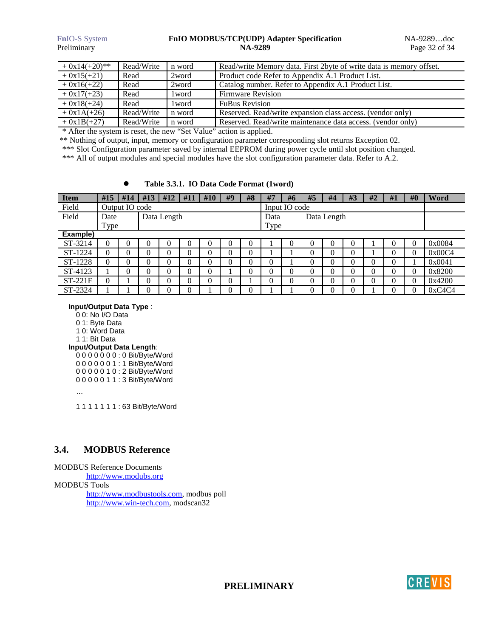### **FnIO-S System <b>FnIO MODBUS/TCP(UDP) Adapter Specification** NA-9289...doc<br>Preliminary **NA-9289** Page 32 of 34 Preliminary **NA-9289** Page 32 of 34

| $+0x14(+20)**$ | Read/Write | n word | Read/write Memory data. First 2byte of write data is memory offset. |
|----------------|------------|--------|---------------------------------------------------------------------|
| $+0x15(+21)$   | Read       | 2word  | Product code Refer to Appendix A.1 Product List.                    |
| $+0x16(+22)$   | Read       | 2word  | Catalog number. Refer to Appendix A.1 Product List.                 |
| $+0x17(+23)$   | Read       | 1 word | Firmware Revision                                                   |
| $+0x18(+24)$   | Read       | 1 word | <b>FuBus Revision</b>                                               |
| $+ 0x1A(+26)$  | Read/Write | n word | Reserved. Read/write expansion class access. (vendor only)          |
| $+ 0x1B(+27)$  | Read/Write | n word | Reserved. Read/write maintenance data access. (vendor only)         |

\* After the system is reset, the new "Set Value" action is applied.

\*\* Nothing of output, input, memory or configuration parameter corresponding slot returns Exception 02.

\*\*\* Slot Configuration parameter saved by internal EEPROM during power cycle until slot position changed.

\*\*\* All of output modules and special modules have the slot configuration parameter data. Refer to A.2.

### **Table 3.3.1. IO Data Code Format (1word)**

| <b>Item</b> | #15                 | #14 | #13 | #12 | #11            | #10 | #9                  | #8 | #7            | #6 | #5       | #4 | #3 | #2 | #1 | #0 | Word   |
|-------------|---------------------|-----|-----|-----|----------------|-----|---------------------|----|---------------|----|----------|----|----|----|----|----|--------|
| Field       | Output IO code      |     |     |     |                |     |                     |    | Input IO code |    |          |    |    |    |    |    |        |
| Field       | Data Length<br>Date |     |     |     |                |     | Data<br>Data Length |    |               |    |          |    |    |    |    |    |        |
|             | Type                |     |     |     |                |     |                     |    | Type          |    |          |    |    |    |    |    |        |
| Example)    |                     |     |     |     |                |     |                     |    |               |    |          |    |    |    |    |    |        |
| ST-3214     | 0                   |     |     | U   | $\theta$       |     |                     |    |               |    | 0        | O  | 0  |    | 0  | 0  | 0x0084 |
| ST-1224     | $\theta$            |     | 0   | 0   | $\overline{0}$ | 0   |                     | 0  |               |    | 0        | 0  | 0  |    | 0  | 0  | 0x00C4 |
| ST-1228     | $\theta$            |     |     | 0   | 0              | 0   |                     |    | 0             |    | 0        | 0  | 0  | 0  | 0  |    | 0x0041 |
| ST-4123     |                     |     |     | 0   | $\theta$       | 0   |                     |    | 0             |    | 0        | 0  | 0  |    | 0  | 0  | 0x8200 |
| $ST-221F$   | $\theta$            |     | 0   | 0   | $\overline{0}$ | 0   | 0                   |    |               |    | 0        | 0  | 0  | 0  | 0  | 0  | 0x4200 |
| ST-2324     |                     |     |     |     | 0              |     |                     |    |               |    | $\Omega$ |    | 0  |    | 0  |    | 0xC4C4 |

### **Input/Output Data Type** :

0 0: No I/O Data

0 1: Byte Data

1 0: Word Data

### 1 1: Bit Data

**Input/Output Data Length**:

0 0 0 0 0 0 0 : 0 Bit/Byte/Word

0 0 0 0 0 0 1 : 1 Bit/Byte/Word 0 0 0 0 0 1 0 : 2 Bit/Byte/Word

0 0 0 0 0 1 1 : 3 Bit/Byte/Word

…

1 1 1 1 1 1 1 : 63 Bit/Byte/Word

### **3.4. MODBUS Reference**

MODBUS Reference Documents http://www.modubs.org MODBUS Tools http://www.modbustools.com, modbus poll http://www.win-tech.com, modscan32

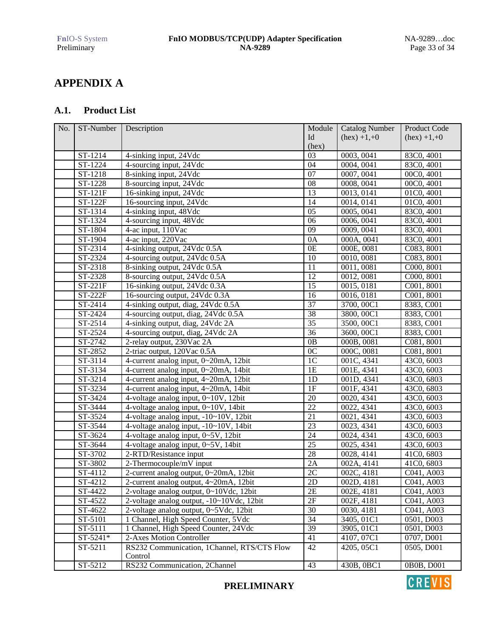# **APPENDIX A**

### **A.1. Product List**

| No. | ST-Number      | Description                                 | Module          | <b>Catalog Number</b> | Product Code             |
|-----|----------------|---------------------------------------------|-----------------|-----------------------|--------------------------|
|     |                |                                             | Id              | $(hex) +1,+0$         | $(hex) +1,+0$            |
|     |                |                                             | (hex)           |                       |                          |
|     | ST-1214        | 4-sinking input, 24Vdc                      | 03              | 0003, 0041            | 83C0, 4001               |
|     | ST-1224        | 4-sourcing input, 24Vdc                     | 04              | 0004, 0041            | 83C0, 4001               |
|     | ST-1218        | 8-sinking input, 24Vdc                      | 07              | 0007, 0041            | 00C0, 4001               |
|     | ST-1228        | 8-sourcing input, 24Vdc                     | 08              | 0008, 0041            | 00C0, 4001               |
|     | ST-121F        | 16-sinking input, 24Vdc                     | 13              | 0013, 0141            | 01C0, 4001               |
|     | <b>ST-122F</b> | 16-sourcing input, 24Vdc                    | 14              | 0014, 0141            | 01C0, 4001               |
|     | ST-1314        | 4-sinking input, 48Vdc                      | 05              | 0005, 0041            | 83C0, 4001               |
|     | ST-1324        | 4-sourcing input, 48Vdc                     | 06              | 0006, 0041            | 83C0, 4001               |
|     | ST-1804        | 4-ac input, 110Vac                          | 09              | 0009, 0041            | 83C0, 4001               |
|     | ST-1904        | 4-ac input, 220Vac                          | 0A              | 000A, 0041            | 83C0, 4001               |
|     | ST-2314        | 4-sinking output, 24Vdc 0.5A                | 0E              | 000E, 0081            | C083, 8001               |
|     | ST-2324        | 4-sourcing output, 24Vdc 0.5A               | 10              | 0010, 0081            | C083, 8001               |
|     | ST-2318        | 8-sinking output, 24Vdc 0.5A                | 11              | 0011,0081             | C000, 8001               |
|     | ST-2328        | 8-sourcing output, 24Vdc 0.5A               | 12              | 0012, 0081            | C000, 8001               |
|     | $ST-221F$      | 16-sinking output, 24Vdc 0.3A               | 15              | 0015, 0181            | C001, 8001               |
|     | <b>ST-222F</b> | 16-sourcing output, 24Vdc 0.3A              | 16              | 0016, 0181            | C001, 8001               |
|     | ST-2414        | 4-sinking output, diag, 24Vdc 0.5A          | 37              | 3700, 00C1            | 8383, C001               |
|     | ST-2424        | 4-sourcing output, diag, 24Vdc 0.5A         | 38              | 3800, 00C1            | 8383, C001               |
|     | ST-2514        | 4-sinking output, diag, 24Vdc 2A            | 35              | 3500, 00C1            | 8383, C001               |
|     | ST-2524        | 4-sourcing output, diag, 24Vdc 2A           | 36              | 3600, 00C1            | 8383, C001               |
|     | ST-2742        | 2-relay output, 230Vac 2A                   | 0B              | 000B, 0081            | C081, 8001               |
|     | ST-2852        | 2-triac output, 120Vac 0.5A                 | 0 <sub>C</sub>  | 000C, 0081            | C081, 8001               |
|     | ST-3114        | 4-current analog input, 0~20mA, 12bit       | 1 <sup>C</sup>  | 001C, 4341            | 43C0, 6003               |
|     | ST-3134        | 4-current analog input, 0~20mA, 14bit       | 1E              | 001E, 4341            | 43C0, 6003               |
|     | ST-3214        | 4-current analog input, 4~20mA, 12bit       | 1D              | 001D, 4341            | 43C0, 6803               |
|     | ST-3234        | 4-current analog input, 4~20mA, 14bit       | 1F              | 001F, 4341            | 43C0, 6803               |
|     | ST-3424        | 4-voltage analog input, 0~10V, 12bit        | 20              | 0020, 4341            | 43C0, 6003               |
|     | ST-3444        | 4-voltage analog input, 0~10V, 14bit        | $\overline{22}$ | 0022, 4341            | 43C0, 6003               |
|     | ST-3524        | 4-voltage analog input, -10~10V, 12bit      | 21              | 0021, 4341            | 43C0, 6003               |
|     | ST-3544        | 4-voltage analog input, -10~10V, 14bit      | 23              | 0023, 4341            | $\overline{43C0}$ , 6003 |
|     | ST-3624        | 4-voltage analog input, 0~5V, 12bit         | 24              | 0024, 4341            | 43C0, 6003               |
|     | ST-3644        | 4-voltage analog input, 0~5V, 14bit         | $\overline{25}$ | 0025, 4341            | $\overline{43C0}$ , 6003 |
|     | ST-3702        | 2-RTD/Resistance input                      | 28              | 0028, 4141            | 41C0, 6803               |
|     | ST-3802        | 2-Thermocouple/mV input                     | 2A              | 002A, 4141            | 41C0, 6803               |
|     | ST-4112        | 2-current analog output, 0~20mA, 12bit      | 2C              | 002C, 4181            | C041, A003               |
|     | ST-4212        | 2-current analog output, 4~20mA, 12bit      | $2\mathbf{D}$   | 002D, 4181            | C041, A003               |
|     | ST-4422        | 2-voltage analog output, 0~10Vdc, 12bit     | $2\mathrm{E}$   | 002E, 4181            | C041, A003               |
|     | ST-4522        | 2-voltage analog output, -10~10Vdc, 12bit   | 2F              | 002F, 4181            | C041, A003               |
|     | ST-4622        | 2-voltage analog output, 0~5Vdc, 12bit      | 30              | 0030, 4181            | C041, A003               |
|     | ST-5101        | 1 Channel, High Speed Counter, 5Vdc         | 34              | 3405, 01C1            | 0501, D003               |
|     | ST-5111        | 1 Channel, High Speed Counter, 24Vdc        | $\overline{39}$ | 3905, 01C1            | 0501, D003               |
|     | ST-5241*       | 2-Axes Motion Controller                    | 41              | 4107, 07C1            | 0707, D001               |
|     | ST-5211        | RS232 Communication, 1Channel, RTS/CTS Flow | 42              | 4205, 05C1            | 0505, D001               |
|     |                | Control                                     |                 |                       |                          |
|     | ST-5212        | RS232 Communication, 2Channel               | 43              | 430B, 0BC1            | 0B0B, D001               |
|     |                |                                             |                 |                       |                          |